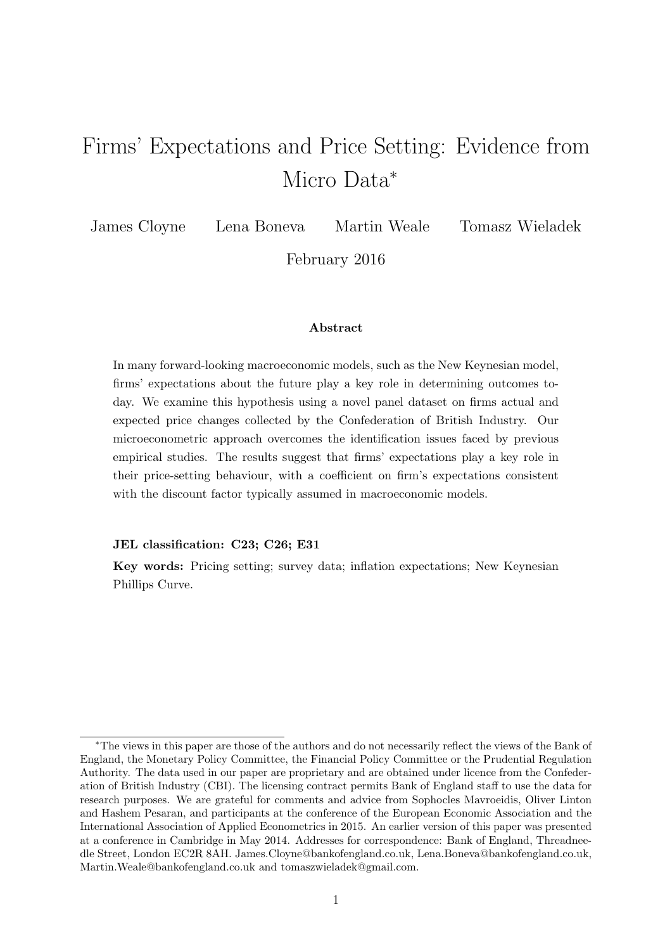# Firms' Expectations and Price Setting: Evidence from Micro Data<sup>∗</sup>

James Cloyne Lena Boneva Martin Weale Tomasz Wieladek

February 2016

#### Abstract

In many forward-looking macroeconomic models, such as the New Keynesian model, firms' expectations about the future play a key role in determining outcomes today. We examine this hypothesis using a novel panel dataset on firms actual and expected price changes collected by the Confederation of British Industry. Our microeconometric approach overcomes the identification issues faced by previous empirical studies. The results suggest that firms' expectations play a key role in their price-setting behaviour, with a coefficient on firm's expectations consistent with the discount factor typically assumed in macroeconomic models.

#### JEL classification: C23; C26; E31

Key words: Pricing setting; survey data; inflation expectations; New Keynesian Phillips Curve.

<sup>∗</sup>The views in this paper are those of the authors and do not necessarily reflect the views of the Bank of England, the Monetary Policy Committee, the Financial Policy Committee or the Prudential Regulation Authority. The data used in our paper are proprietary and are obtained under licence from the Confederation of British Industry (CBI). The licensing contract permits Bank of England staff to use the data for research purposes. We are grateful for comments and advice from Sophocles Mavroeidis, Oliver Linton and Hashem Pesaran, and participants at the conference of the European Economic Association and the International Association of Applied Econometrics in 2015. An earlier version of this paper was presented at a conference in Cambridge in May 2014. Addresses for correspondence: Bank of England, Threadneedle Street, London EC2R 8AH. James.Cloyne@bankofengland.co.uk, Lena.Boneva@bankofengland.co.uk, Martin.Weale@bankofengland.co.uk and tomaszwieladek@gmail.com.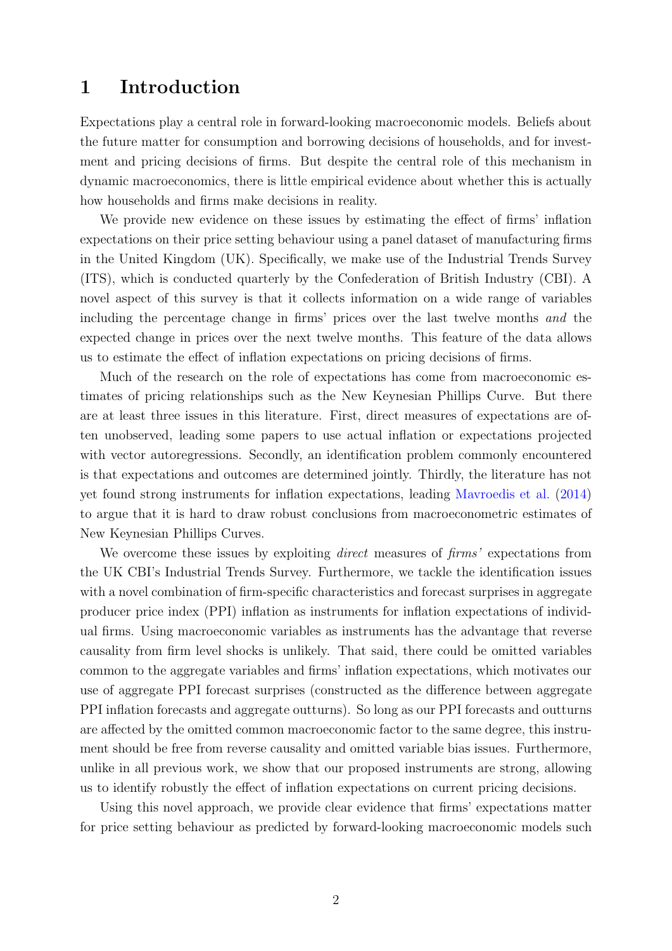### 1 Introduction

Expectations play a central role in forward-looking macroeconomic models. Beliefs about the future matter for consumption and borrowing decisions of households, and for investment and pricing decisions of firms. But despite the central role of this mechanism in dynamic macroeconomics, there is little empirical evidence about whether this is actually how households and firms make decisions in reality.

We provide new evidence on these issues by estimating the effect of firms' inflation expectations on their price setting behaviour using a panel dataset of manufacturing firms in the United Kingdom (UK). Specifically, we make use of the Industrial Trends Survey (ITS), which is conducted quarterly by the Confederation of British Industry (CBI). A novel aspect of this survey is that it collects information on a wide range of variables including the percentage change in firms' prices over the last twelve months and the expected change in prices over the next twelve months. This feature of the data allows us to estimate the effect of inflation expectations on pricing decisions of firms.

Much of the research on the role of expectations has come from macroeconomic estimates of pricing relationships such as the New Keynesian Phillips Curve. But there are at least three issues in this literature. First, direct measures of expectations are often unobserved, leading some papers to use actual inflation or expectations projected with vector autoregressions. Secondly, an identification problem commonly encountered is that expectations and outcomes are determined jointly. Thirdly, the literature has not yet found strong instruments for inflation expectations, leading [Mavroedis et al.](#page-17-0) [\(2014\)](#page-17-0) to argue that it is hard to draw robust conclusions from macroeconometric estimates of New Keynesian Phillips Curves.

We overcome these issues by exploiting *direct* measures of *firms* expectations from the UK CBI's Industrial Trends Survey. Furthermore, we tackle the identification issues with a novel combination of firm-specific characteristics and forecast surprises in aggregate producer price index (PPI) inflation as instruments for inflation expectations of individual firms. Using macroeconomic variables as instruments has the advantage that reverse causality from firm level shocks is unlikely. That said, there could be omitted variables common to the aggregate variables and firms' inflation expectations, which motivates our use of aggregate PPI forecast surprises (constructed as the difference between aggregate PPI inflation forecasts and aggregate outturns). So long as our PPI forecasts and outturns are affected by the omitted common macroeconomic factor to the same degree, this instrument should be free from reverse causality and omitted variable bias issues. Furthermore, unlike in all previous work, we show that our proposed instruments are strong, allowing us to identify robustly the effect of inflation expectations on current pricing decisions.

Using this novel approach, we provide clear evidence that firms' expectations matter for price setting behaviour as predicted by forward-looking macroeconomic models such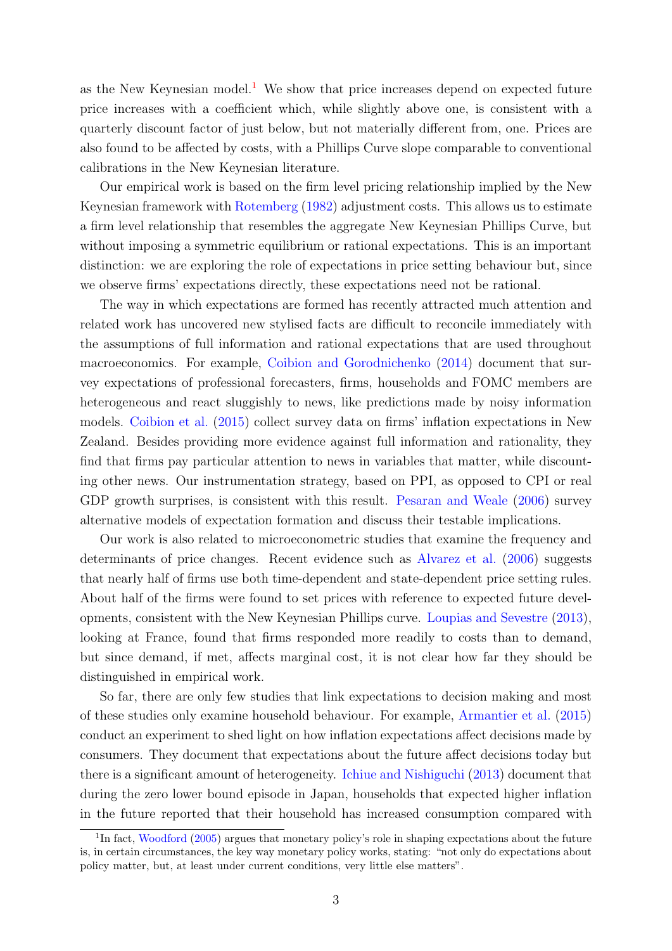as the New Keynesian model.<sup>[1](#page-2-0)</sup> We show that price increases depend on expected future price increases with a coefficient which, while slightly above one, is consistent with a quarterly discount factor of just below, but not materially different from, one. Prices are also found to be affected by costs, with a Phillips Curve slope comparable to conventional calibrations in the New Keynesian literature.

Our empirical work is based on the firm level pricing relationship implied by the New Keynesian framework with [Rotemberg](#page-17-1) [\(1982\)](#page-17-1) adjustment costs. This allows us to estimate a firm level relationship that resembles the aggregate New Keynesian Phillips Curve, but without imposing a symmetric equilibrium or rational expectations. This is an important distinction: we are exploring the role of expectations in price setting behaviour but, since we observe firms' expectations directly, these expectations need not be rational.

The way in which expectations are formed has recently attracted much attention and related work has uncovered new stylised facts are difficult to reconcile immediately with the assumptions of full information and rational expectations that are used throughout macroeconomics. For example, [Coibion and Gorodnichenko](#page-16-0) [\(2014\)](#page-16-0) document that survey expectations of professional forecasters, firms, households and FOMC members are heterogeneous and react sluggishly to news, like predictions made by noisy information models. [Coibion et al.](#page-16-1) [\(2015\)](#page-16-1) collect survey data on firms' inflation expectations in New Zealand. Besides providing more evidence against full information and rationality, they find that firms pay particular attention to news in variables that matter, while discounting other news. Our instrumentation strategy, based on PPI, as opposed to CPI or real GDP growth surprises, is consistent with this result. [Pesaran and Weale](#page-17-2) [\(2006\)](#page-17-2) survey alternative models of expectation formation and discuss their testable implications.

Our work is also related to microeconometric studies that examine the frequency and determinants of price changes. Recent evidence such as [Alvarez et al.](#page-16-2) [\(2006\)](#page-16-2) suggests that nearly half of firms use both time-dependent and state-dependent price setting rules. About half of the firms were found to set prices with reference to expected future developments, consistent with the New Keynesian Phillips curve. [Loupias and Sevestre](#page-17-3) [\(2013\)](#page-17-3), looking at France, found that firms responded more readily to costs than to demand, but since demand, if met, affects marginal cost, it is not clear how far they should be distinguished in empirical work.

So far, there are only few studies that link expectations to decision making and most of these studies only examine household behaviour. For example, [Armantier et al.](#page-16-3) [\(2015\)](#page-16-3) conduct an experiment to shed light on how inflation expectations affect decisions made by consumers. They document that expectations about the future affect decisions today but there is a significant amount of heterogeneity. [Ichiue and Nishiguchi](#page-17-4) [\(2013\)](#page-17-4) document that during the zero lower bound episode in Japan, households that expected higher inflation in the future reported that their household has increased consumption compared with

<span id="page-2-0"></span><sup>&</sup>lt;sup>1</sup>In fact, [Woodford](#page-18-0) [\(2005\)](#page-18-0) argues that monetary policy's role in shaping expectations about the future is, in certain circumstances, the key way monetary policy works, stating: "not only do expectations about policy matter, but, at least under current conditions, very little else matters".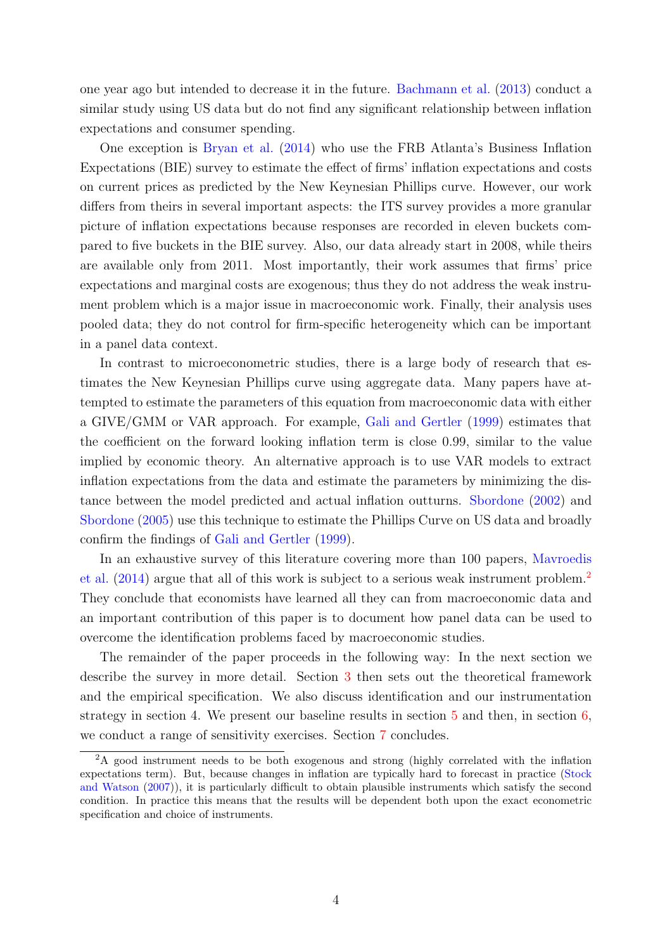one year ago but intended to decrease it in the future. [Bachmann et al.](#page-16-4) [\(2013\)](#page-16-4) conduct a similar study using US data but do not find any significant relationship between inflation expectations and consumer spending.

One exception is [Bryan et al.](#page-16-5) [\(2014\)](#page-16-5) who use the FRB Atlanta's Business Inflation Expectations (BIE) survey to estimate the effect of firms' inflation expectations and costs on current prices as predicted by the New Keynesian Phillips curve. However, our work differs from theirs in several important aspects: the ITS survey provides a more granular picture of inflation expectations because responses are recorded in eleven buckets compared to five buckets in the BIE survey. Also, our data already start in 2008, while theirs are available only from 2011. Most importantly, their work assumes that firms' price expectations and marginal costs are exogenous; thus they do not address the weak instrument problem which is a major issue in macroeconomic work. Finally, their analysis uses pooled data; they do not control for firm-specific heterogeneity which can be important in a panel data context.

In contrast to microeconometric studies, there is a large body of research that estimates the New Keynesian Phillips curve using aggregate data. Many papers have attempted to estimate the parameters of this equation from macroeconomic data with either a GIVE/GMM or VAR approach. For example, [Gali and Gertler](#page-16-6) [\(1999\)](#page-16-6) estimates that the coefficient on the forward looking inflation term is close 0.99, similar to the value implied by economic theory. An alternative approach is to use VAR models to extract inflation expectations from the data and estimate the parameters by minimizing the distance between the model predicted and actual inflation outturns. [Sbordone](#page-18-1) [\(2002\)](#page-18-1) and [Sbordone](#page-18-2) [\(2005\)](#page-18-2) use this technique to estimate the Phillips Curve on US data and broadly confirm the findings of [Gali and Gertler](#page-16-6) [\(1999\)](#page-16-6).

In an exhaustive survey of this literature covering more than 100 papers, [Mavroedis](#page-17-0) [et al.](#page-17-0)  $(2014)$  argue that all of this work is subject to a serious weak instrument problem.<sup>[2](#page-3-0)</sup> They conclude that economists have learned all they can from macroeconomic data and an important contribution of this paper is to document how panel data can be used to overcome the identification problems faced by macroeconomic studies.

The remainder of the paper proceeds in the following way: In the next section we describe the survey in more detail. Section [3](#page-7-0) then sets out the theoretical framework and the empirical specification. We also discuss identification and our instrumentation strategy in section 4. We present our baseline results in section [5](#page-12-0) and then, in section [6,](#page-13-0) we conduct a range of sensitivity exercises. Section [7](#page-14-0) concludes.

<span id="page-3-0"></span><sup>&</sup>lt;sup>2</sup>A good instrument needs to be both exogenous and strong (highly correlated with the inflation expectations term). But, because changes in inflation are typically hard to forecast in practice [\(Stock](#page-18-3) [and Watson](#page-18-3) [\(2007\)](#page-18-3)), it is particularly difficult to obtain plausible instruments which satisfy the second condition. In practice this means that the results will be dependent both upon the exact econometric specification and choice of instruments.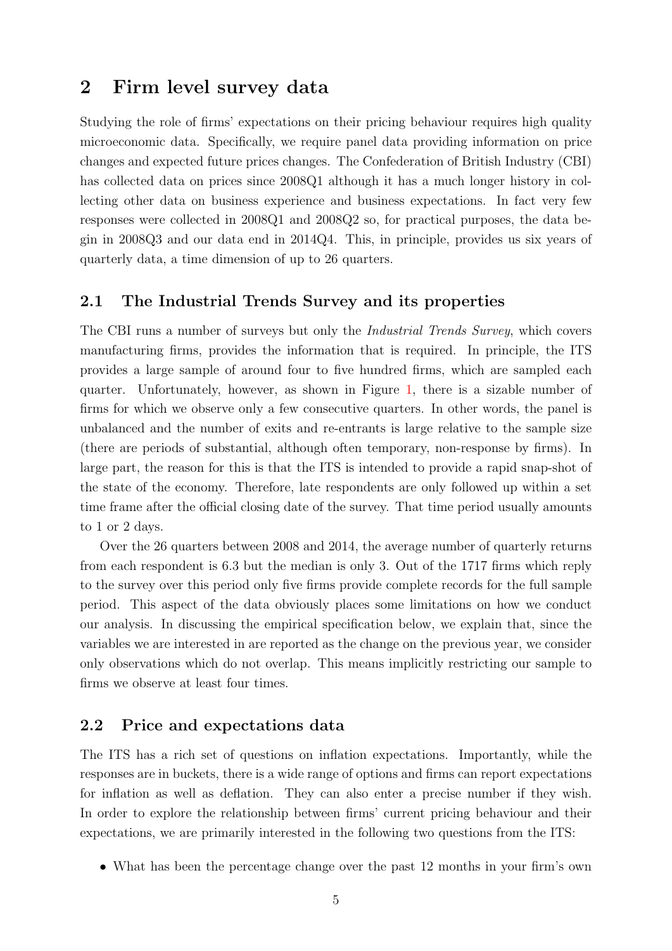## 2 Firm level survey data

Studying the role of firms' expectations on their pricing behaviour requires high quality microeconomic data. Specifically, we require panel data providing information on price changes and expected future prices changes. The Confederation of British Industry (CBI) has collected data on prices since 2008Q1 although it has a much longer history in collecting other data on business experience and business expectations. In fact very few responses were collected in 2008Q1 and 2008Q2 so, for practical purposes, the data begin in 2008Q3 and our data end in 2014Q4. This, in principle, provides us six years of quarterly data, a time dimension of up to 26 quarters.

#### 2.1 The Industrial Trends Survey and its properties

The CBI runs a number of surveys but only the Industrial Trends Survey, which covers manufacturing firms, provides the information that is required. In principle, the ITS provides a large sample of around four to five hundred firms, which are sampled each quarter. Unfortunately, however, as shown in Figure [1,](#page-23-0) there is a sizable number of firms for which we observe only a few consecutive quarters. In other words, the panel is unbalanced and the number of exits and re-entrants is large relative to the sample size (there are periods of substantial, although often temporary, non-response by firms). In large part, the reason for this is that the ITS is intended to provide a rapid snap-shot of the state of the economy. Therefore, late respondents are only followed up within a set time frame after the official closing date of the survey. That time period usually amounts to 1 or 2 days.

Over the 26 quarters between 2008 and 2014, the average number of quarterly returns from each respondent is 6.3 but the median is only 3. Out of the 1717 firms which reply to the survey over this period only five firms provide complete records for the full sample period. This aspect of the data obviously places some limitations on how we conduct our analysis. In discussing the empirical specification below, we explain that, since the variables we are interested in are reported as the change on the previous year, we consider only observations which do not overlap. This means implicitly restricting our sample to firms we observe at least four times.

#### 2.2 Price and expectations data

The ITS has a rich set of questions on inflation expectations. Importantly, while the responses are in buckets, there is a wide range of options and firms can report expectations for inflation as well as deflation. They can also enter a precise number if they wish. In order to explore the relationship between firms' current pricing behaviour and their expectations, we are primarily interested in the following two questions from the ITS:

• What has been the percentage change over the past 12 months in your firm's own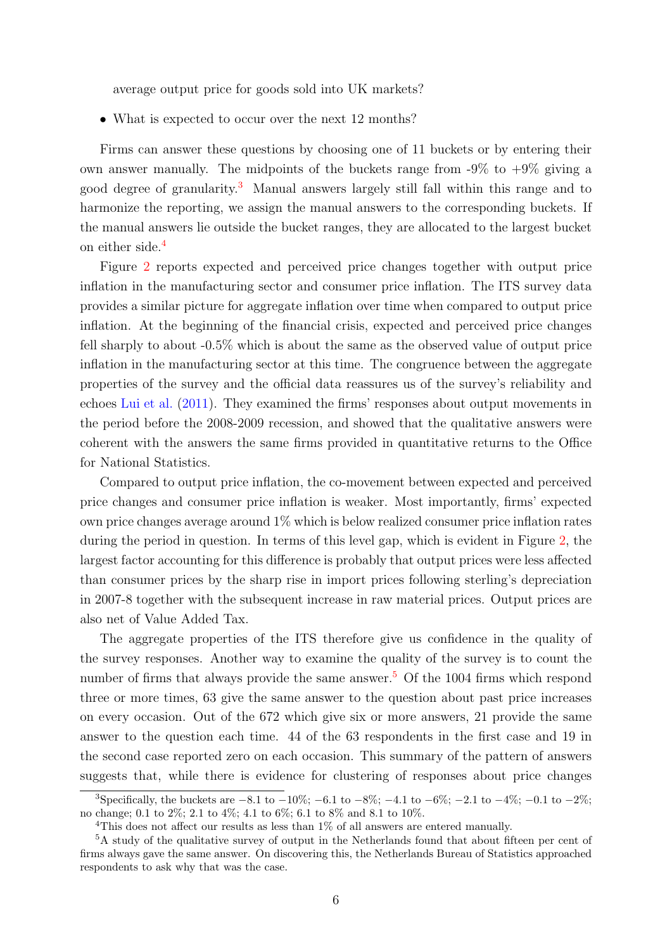average output price for goods sold into UK markets?

• What is expected to occur over the next 12 months?

Firms can answer these questions by choosing one of 11 buckets or by entering their own answer manually. The midpoints of the buckets range from  $-9\%$  to  $+9\%$  giving a good degree of granularity.[3](#page-5-0) Manual answers largely still fall within this range and to harmonize the reporting, we assign the manual answers to the corresponding buckets. If the manual answers lie outside the bucket ranges, they are allocated to the largest bucket on either side.[4](#page-5-1)

Figure [2](#page-24-0) reports expected and perceived price changes together with output price inflation in the manufacturing sector and consumer price inflation. The ITS survey data provides a similar picture for aggregate inflation over time when compared to output price inflation. At the beginning of the financial crisis, expected and perceived price changes fell sharply to about -0.5% which is about the same as the observed value of output price inflation in the manufacturing sector at this time. The congruence between the aggregate properties of the survey and the official data reassures us of the survey's reliability and echoes [Lui et al.](#page-17-5) [\(2011\)](#page-17-5). They examined the firms' responses about output movements in the period before the 2008-2009 recession, and showed that the qualitative answers were coherent with the answers the same firms provided in quantitative returns to the Office for National Statistics.

Compared to output price inflation, the co-movement between expected and perceived price changes and consumer price inflation is weaker. Most importantly, firms' expected own price changes average around 1% which is below realized consumer price inflation rates during the period in question. In terms of this level gap, which is evident in Figure [2,](#page-24-0) the largest factor accounting for this difference is probably that output prices were less affected than consumer prices by the sharp rise in import prices following sterling's depreciation in 2007-8 together with the subsequent increase in raw material prices. Output prices are also net of Value Added Tax.

The aggregate properties of the ITS therefore give us confidence in the quality of the survey responses. Another way to examine the quality of the survey is to count the number of firms that always provide the same answer.<sup>[5](#page-5-2)</sup> Of the 1004 firms which respond three or more times, 63 give the same answer to the question about past price increases on every occasion. Out of the 672 which give six or more answers, 21 provide the same answer to the question each time. 44 of the 63 respondents in the first case and 19 in the second case reported zero on each occasion. This summary of the pattern of answers suggests that, while there is evidence for clustering of responses about price changes

<span id="page-5-0"></span><sup>&</sup>lt;sup>3</sup>Specifically, the buckets are  $-8.1$  to  $-10\%$ ;  $-6.1$  to  $-8\%$ ;  $-4.1$  to  $-6\%$ ;  $-2.1$  to  $-4\%$ ;  $-0.1$  to  $-2\%$ ; no change; 0.1 to 2%; 2.1 to 4%; 4.1 to 6%; 6.1 to 8% and 8.1 to 10%.

<span id="page-5-2"></span><span id="page-5-1"></span><sup>4</sup>This does not affect our results as less than 1% of all answers are entered manually.

<sup>5</sup>A study of the qualitative survey of output in the Netherlands found that about fifteen per cent of firms always gave the same answer. On discovering this, the Netherlands Bureau of Statistics approached respondents to ask why that was the case.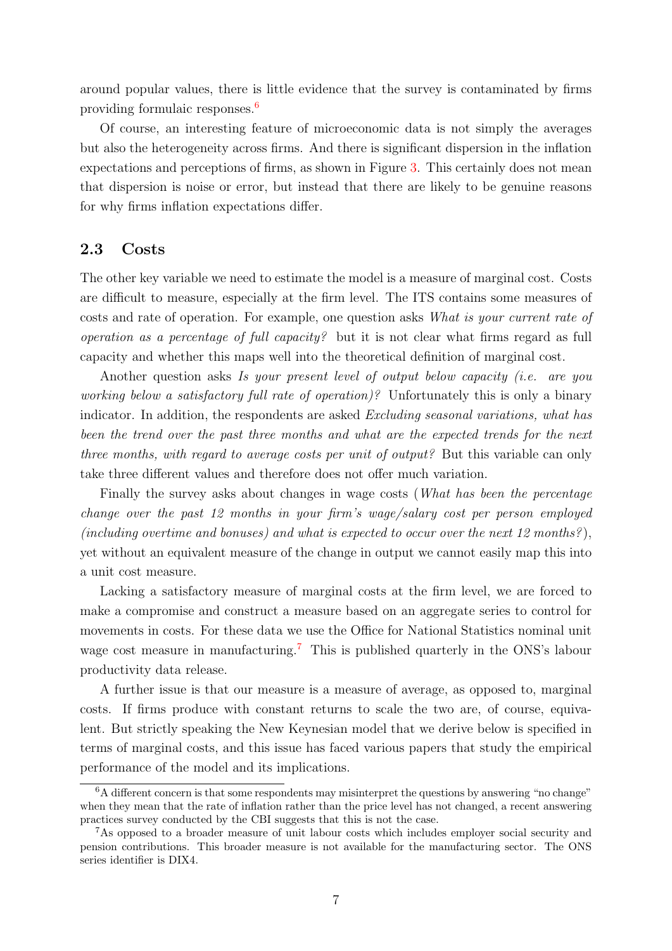around popular values, there is little evidence that the survey is contaminated by firms providing formulaic responses.[6](#page-6-0)

Of course, an interesting feature of microeconomic data is not simply the averages but also the heterogeneity across firms. And there is significant dispersion in the inflation expectations and perceptions of firms, as shown in Figure [3.](#page-25-0) This certainly does not mean that dispersion is noise or error, but instead that there are likely to be genuine reasons for why firms inflation expectations differ.

#### <span id="page-6-2"></span>2.3 Costs

The other key variable we need to estimate the model is a measure of marginal cost. Costs are difficult to measure, especially at the firm level. The ITS contains some measures of costs and rate of operation. For example, one question asks What is your current rate of operation as a percentage of full capacity? but it is not clear what firms regard as full capacity and whether this maps well into the theoretical definition of marginal cost.

Another question asks Is your present level of output below capacity (i.e. are you working below a satisfactory full rate of operation)? Unfortunately this is only a binary indicator. In addition, the respondents are asked *Excluding seasonal variations*, what has been the trend over the past three months and what are the expected trends for the next three months, with regard to average costs per unit of output? But this variable can only take three different values and therefore does not offer much variation.

Finally the survey asks about changes in wage costs (*What has been the percentage* change over the past 12 months in your firm's wage/salary cost per person employed (including overtime and bonuses) and what is expected to occur over the next 12 months?), yet without an equivalent measure of the change in output we cannot easily map this into a unit cost measure.

Lacking a satisfactory measure of marginal costs at the firm level, we are forced to make a compromise and construct a measure based on an aggregate series to control for movements in costs. For these data we use the Office for National Statistics nominal unit wage cost measure in manufacturing.<sup>[7](#page-6-1)</sup> This is published quarterly in the ONS's labour productivity data release.

A further issue is that our measure is a measure of average, as opposed to, marginal costs. If firms produce with constant returns to scale the two are, of course, equivalent. But strictly speaking the New Keynesian model that we derive below is specified in terms of marginal costs, and this issue has faced various papers that study the empirical performance of the model and its implications.

<span id="page-6-0"></span> $6A$  different concern is that some respondents may misinterpret the questions by answering "no change" when they mean that the rate of inflation rather than the price level has not changed, a recent answering practices survey conducted by the CBI suggests that this is not the case.

<span id="page-6-1"></span><sup>7</sup>As opposed to a broader measure of unit labour costs which includes employer social security and pension contributions. This broader measure is not available for the manufacturing sector. The ONS series identifier is DIX4.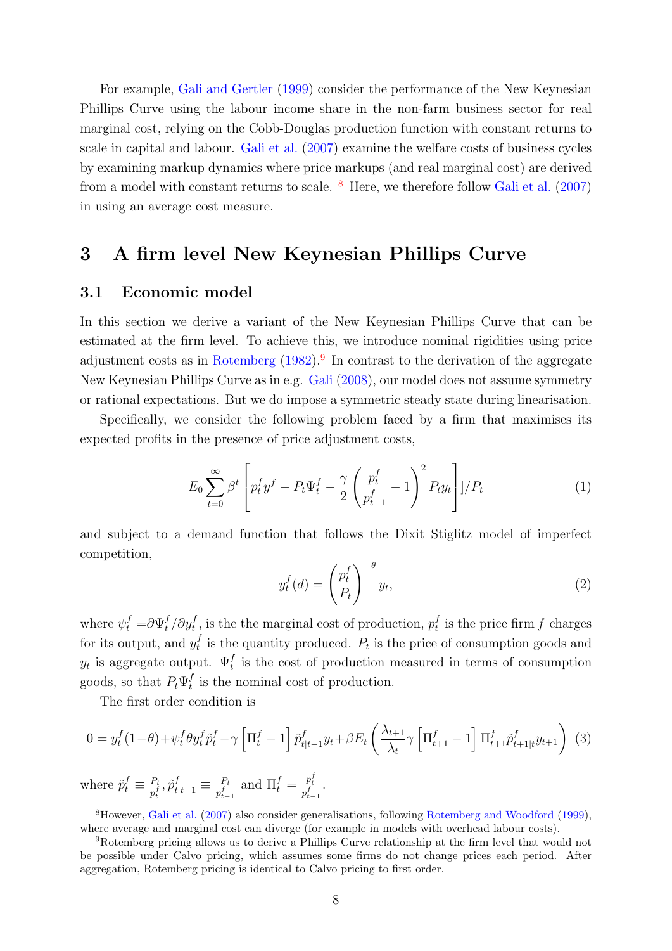For example, [Gali and Gertler](#page-16-6) [\(1999\)](#page-16-6) consider the performance of the New Keynesian Phillips Curve using the labour income share in the non-farm business sector for real marginal cost, relying on the Cobb-Douglas production function with constant returns to scale in capital and labour. [Gali et al.](#page-16-7) [\(2007\)](#page-16-7) examine the welfare costs of business cycles by examining markup dynamics where price markups (and real marginal cost) are derived from a model with constant returns to scale.  $8$  Here, we therefore follow [Gali et al.](#page-16-7) [\(2007\)](#page-16-7) in using an average cost measure.

## <span id="page-7-0"></span>3 A firm level New Keynesian Phillips Curve

#### 3.1 Economic model

In this section we derive a variant of the New Keynesian Phillips Curve that can be estimated at the firm level. To achieve this, we introduce nominal rigidities using price adjustment costs as in [Rotemberg](#page-17-1)  $(1982)$ .<sup>[9](#page-7-2)</sup> In contrast to the derivation of the aggregate New Keynesian Phillips Curve as in e.g. [Gali](#page-16-8) [\(2008\)](#page-16-8), our model does not assume symmetry or rational expectations. But we do impose a symmetric steady state during linearisation.

Specifically, we consider the following problem faced by a firm that maximises its expected profits in the presence of price adjustment costs,

$$
E_0 \sum_{t=0}^{\infty} \beta^t \left[ p_t^f y^f - P_t \Psi_t^f - \frac{\gamma}{2} \left( \frac{p_t^f}{p_{t-1}^f} - 1 \right)^2 P_t y_t \right] \Big| / P_t \tag{1}
$$

and subject to a demand function that follows the Dixit Stiglitz model of imperfect competition,

$$
y_t^f(d) = \left(\frac{p_t^f}{P_t}\right)^{-\theta} y_t,\tag{2}
$$

where  $\psi_t^f = \partial \Psi_t^f / \partial y_t^f$ , is the the marginal cost of production,  $p_t^f$  $t_t^f$  is the price firm f charges for its output, and  $y_t^f$  $_t^J$  is the quantity produced.  $P_t$  is the price of consumption goods and  $y_t$  is aggregate output.  $\Psi_t^f$  is the cost of production measured in terms of consumption goods, so that  $P_t \Psi_t^f$  $_t^t$  is the nominal cost of production.

The first order condition is

$$
0 = y_t^f (1 - \theta) + \psi_t^f \theta y_t^f \tilde{p}_t^f - \gamma \left[ \Pi_t^f - 1 \right] \tilde{p}_{t|t-1}^f y_t + \beta E_t \left( \frac{\lambda_{t+1}}{\lambda_t} \gamma \left[ \Pi_{t+1}^f - 1 \right] \Pi_{t+1}^f \tilde{p}_{t+1|t}^f y_{t+1} \right) \tag{3}
$$

where  $\tilde{p}_t^f \equiv \frac{P_t}{p}$  $\frac{P_t}{p_t^f}, \tilde{p}_{t|t-1}^f \equiv \frac{P_t}{p_{t-}^f}$  $\frac{P_t}{p_{t-1}^f}$  and  $\Pi_t^f = \frac{p_t^f}{p_{t-1}^f}$ .

<span id="page-7-1"></span><sup>8</sup>However, [Gali et al.](#page-16-7) [\(2007\)](#page-16-7) also consider generalisations, following [Rotemberg and Woodford](#page-17-6) [\(1999\)](#page-17-6), where average and marginal cost can diverge (for example in models with overhead labour costs).

<span id="page-7-2"></span><sup>9</sup>Rotemberg pricing allows us to derive a Phillips Curve relationship at the firm level that would not be possible under Calvo pricing, which assumes some firms do not change prices each period. After aggregation, Rotemberg pricing is identical to Calvo pricing to first order.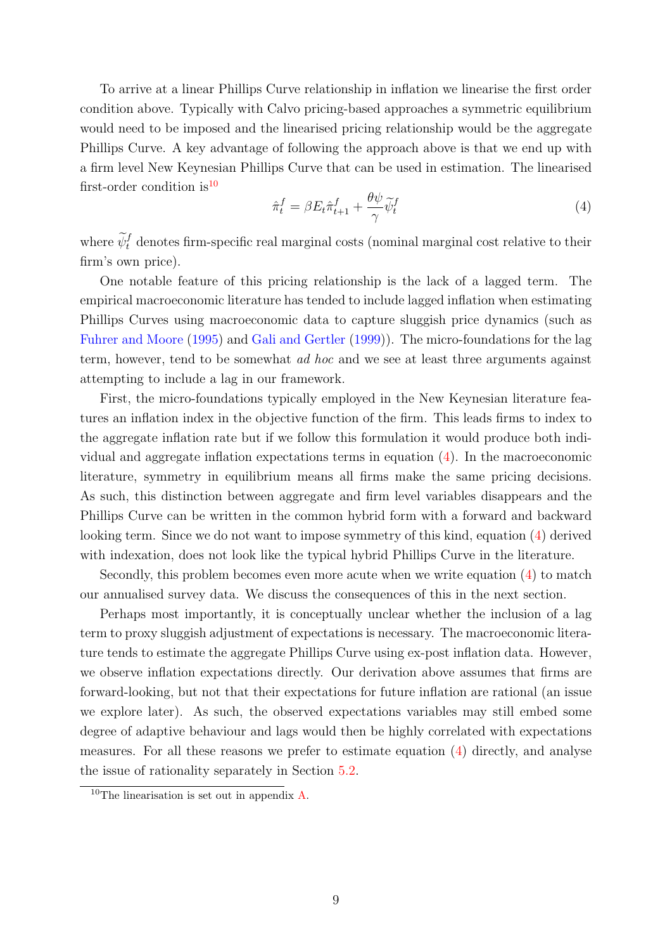To arrive at a linear Phillips Curve relationship in inflation we linearise the first order condition above. Typically with Calvo pricing-based approaches a symmetric equilibrium would need to be imposed and the linearised pricing relationship would be the aggregate Phillips Curve. A key advantage of following the approach above is that we end up with a firm level New Keynesian Phillips Curve that can be used in estimation. The linearised first-order condition is  $10$ 

<span id="page-8-1"></span>
$$
\hat{\pi}_t^f = \beta E_t \hat{\pi}_{t+1}^f + \frac{\theta \psi}{\gamma} \tilde{\psi}_t^f \tag{4}
$$

where  $\widetilde{\psi}_t^f$  denotes firm-specific real marginal costs (nominal marginal cost relative to their firm's own price).

One notable feature of this pricing relationship is the lack of a lagged term. The empirical macroeconomic literature has tended to include lagged inflation when estimating Phillips Curves using macroeconomic data to capture sluggish price dynamics (such as [Fuhrer and Moore](#page-16-9) [\(1995\)](#page-16-9) and [Gali and Gertler](#page-16-6) [\(1999\)](#page-16-6)). The micro-foundations for the lag term, however, tend to be somewhat ad hoc and we see at least three arguments against attempting to include a lag in our framework.

First, the micro-foundations typically employed in the New Keynesian literature features an inflation index in the objective function of the firm. This leads firms to index to the aggregate inflation rate but if we follow this formulation it would produce both individual and aggregate inflation expectations terms in equation [\(4\)](#page-8-1). In the macroeconomic literature, symmetry in equilibrium means all firms make the same pricing decisions. As such, this distinction between aggregate and firm level variables disappears and the Phillips Curve can be written in the common hybrid form with a forward and backward looking term. Since we do not want to impose symmetry of this kind, equation [\(4\)](#page-8-1) derived with indexation, does not look like the typical hybrid Phillips Curve in the literature.

Secondly, this problem becomes even more acute when we write equation [\(4\)](#page-8-1) to match our annualised survey data. We discuss the consequences of this in the next section.

Perhaps most importantly, it is conceptually unclear whether the inclusion of a lag term to proxy sluggish adjustment of expectations is necessary. The macroeconomic literature tends to estimate the aggregate Phillips Curve using ex-post inflation data. However, we observe inflation expectations directly. Our derivation above assumes that firms are forward-looking, but not that their expectations for future inflation are rational (an issue we explore later). As such, the observed expectations variables may still embed some degree of adaptive behaviour and lags would then be highly correlated with expectations measures. For all these reasons we prefer to estimate equation [\(4\)](#page-8-1) directly, and analyse the issue of rationality separately in Section [5.2.](#page-13-1)

<span id="page-8-0"></span><sup>10</sup>The linearisation is set out in appendix [A.](#page-26-0)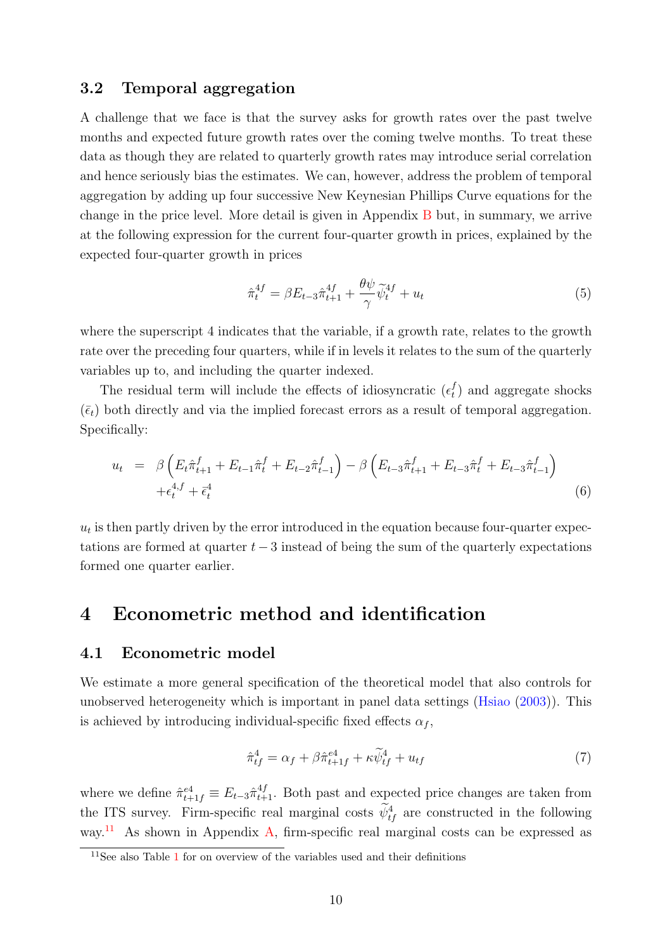### 3.2 Temporal aggregation

A challenge that we face is that the survey asks for growth rates over the past twelve months and expected future growth rates over the coming twelve months. To treat these data as though they are related to quarterly growth rates may introduce serial correlation and hence seriously bias the estimates. We can, however, address the problem of temporal aggregation by adding up four successive New Keynesian Phillips Curve equations for the change in the price level. More detail is given in Appendix [B](#page-27-0) but, in summary, we arrive at the following expression for the current four-quarter growth in prices, explained by the expected four-quarter growth in prices

$$
\hat{\pi}_t^{4f} = \beta E_{t-3} \hat{\pi}_{t+1}^{4f} + \frac{\theta \psi}{\gamma} \tilde{\psi}_t^{4f} + u_t \tag{5}
$$

where the superscript 4 indicates that the variable, if a growth rate, relates to the growth rate over the preceding four quarters, while if in levels it relates to the sum of the quarterly variables up to, and including the quarter indexed.

The residual term will include the effects of idiosyncratic  $(\epsilon_t^f)$  $_{t}^{J}$ ) and aggregate shocks  $(\bar{\epsilon}_t)$  both directly and via the implied forecast errors as a result of temporal aggregation. Specifically:

<span id="page-9-2"></span>
$$
u_t = \beta \left( E_t \hat{\pi}_{t+1}^f + E_{t-1} \hat{\pi}_t^f + E_{t-2} \hat{\pi}_{t-1}^f \right) - \beta \left( E_{t-3} \hat{\pi}_{t+1}^f + E_{t-3} \hat{\pi}_t^f + E_{t-3} \hat{\pi}_{t-1}^f \right) + \epsilon_t^{4,f} + \bar{\epsilon}_t^4
$$
\n(6)

 $u_t$  is then partly driven by the error introduced in the equation because four-quarter expectations are formed at quarter  $t - 3$  instead of being the sum of the quarterly expectations formed one quarter earlier.

## 4 Econometric method and identification

#### 4.1 Econometric model

We estimate a more general specification of the theoretical model that also controls for unobserved heterogeneity which is important in panel data settings [\(Hsiao](#page-17-7) [\(2003\)](#page-17-7)). This is achieved by introducing individual-specific fixed effects  $\alpha_f$ ,

<span id="page-9-1"></span>
$$
\hat{\pi}_{tf}^4 = \alpha_f + \beta \hat{\pi}_{t+1f}^{e4} + \kappa \widetilde{\psi}_{tf}^4 + u_{tf} \tag{7}
$$

where we define  $\hat{\pi}_{t+1}^{e4} \equiv E_{t-3} \hat{\pi}_{t+1}^{4f}$ . Both past and expected price changes are taken from the ITS survey. Firm-specific real marginal costs  $\psi_{tf}^4$  are constructed in the following way.<sup>[11](#page-9-0)</sup> As shown in Appendix [A,](#page-26-0) firm-specific real marginal costs can be expressed as

<span id="page-9-0"></span> $\frac{11}{11}$  $\frac{11}{11}$  $\frac{11}{11}$ See also Table 1 for on overview of the variables used and their definitions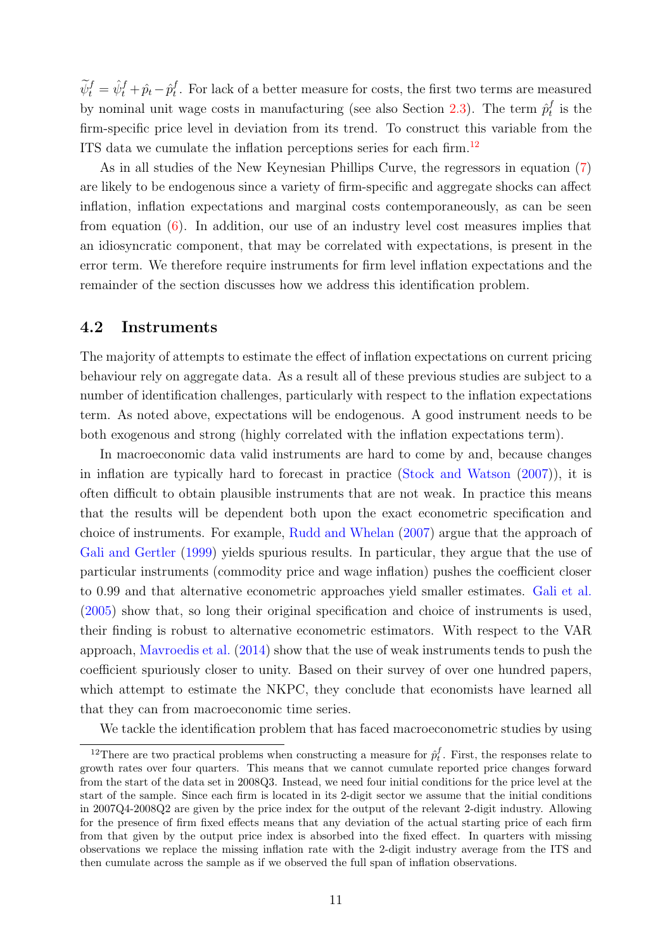$\widetilde{\psi}_t^f = \hat{\psi}_t^f + \hat{p}_t - \hat{p}_t^f$  $_t^t$ . For lack of a better measure for costs, the first two terms are measured by nominal unit wage costs in manufacturing (see also Section [2.3\)](#page-6-2). The term  $\hat{p}_t^f$  $t_t^f$  is the firm-specific price level in deviation from its trend. To construct this variable from the ITS data we cumulate the inflation perceptions series for each firm.[12](#page-10-0)

As in all studies of the New Keynesian Phillips Curve, the regressors in equation [\(7\)](#page-9-1) are likely to be endogenous since a variety of firm-specific and aggregate shocks can affect inflation, inflation expectations and marginal costs contemporaneously, as can be seen from equation [\(6\)](#page-9-2). In addition, our use of an industry level cost measures implies that an idiosyncratic component, that may be correlated with expectations, is present in the error term. We therefore require instruments for firm level inflation expectations and the remainder of the section discusses how we address this identification problem.

#### <span id="page-10-1"></span>4.2 Instruments

The majority of attempts to estimate the effect of inflation expectations on current pricing behaviour rely on aggregate data. As a result all of these previous studies are subject to a number of identification challenges, particularly with respect to the inflation expectations term. As noted above, expectations will be endogenous. A good instrument needs to be both exogenous and strong (highly correlated with the inflation expectations term).

In macroeconomic data valid instruments are hard to come by and, because changes in inflation are typically hard to forecast in practice [\(Stock and Watson](#page-18-3) [\(2007\)](#page-18-3)), it is often difficult to obtain plausible instruments that are not weak. In practice this means that the results will be dependent both upon the exact econometric specification and choice of instruments. For example, [Rudd and Whelan](#page-17-8) [\(2007\)](#page-17-8) argue that the approach of [Gali and Gertler](#page-16-6) [\(1999\)](#page-16-6) yields spurious results. In particular, they argue that the use of particular instruments (commodity price and wage inflation) pushes the coefficient closer to 0.99 and that alternative econometric approaches yield smaller estimates. [Gali et al.](#page-16-10) [\(2005\)](#page-16-10) show that, so long their original specification and choice of instruments is used, their finding is robust to alternative econometric estimators. With respect to the VAR approach, [Mavroedis et al.](#page-17-0) [\(2014\)](#page-17-0) show that the use of weak instruments tends to push the coefficient spuriously closer to unity. Based on their survey of over one hundred papers, which attempt to estimate the NKPC, they conclude that economists have learned all that they can from macroeconomic time series.

We tackle the identification problem that has faced macroeconometric studies by using

<span id="page-10-0"></span><sup>&</sup>lt;sup>12</sup>There are two practical problems when constructing a measure for  $\hat{p}_t^f$ . First, the responses relate to growth rates over four quarters. This means that we cannot cumulate reported price changes forward from the start of the data set in 2008Q3. Instead, we need four initial conditions for the price level at the start of the sample. Since each firm is located in its 2-digit sector we assume that the initial conditions in 2007Q4-2008Q2 are given by the price index for the output of the relevant 2-digit industry. Allowing for the presence of firm fixed effects means that any deviation of the actual starting price of each firm from that given by the output price index is absorbed into the fixed effect. In quarters with missing observations we replace the missing inflation rate with the 2-digit industry average from the ITS and then cumulate across the sample as if we observed the full span of inflation observations.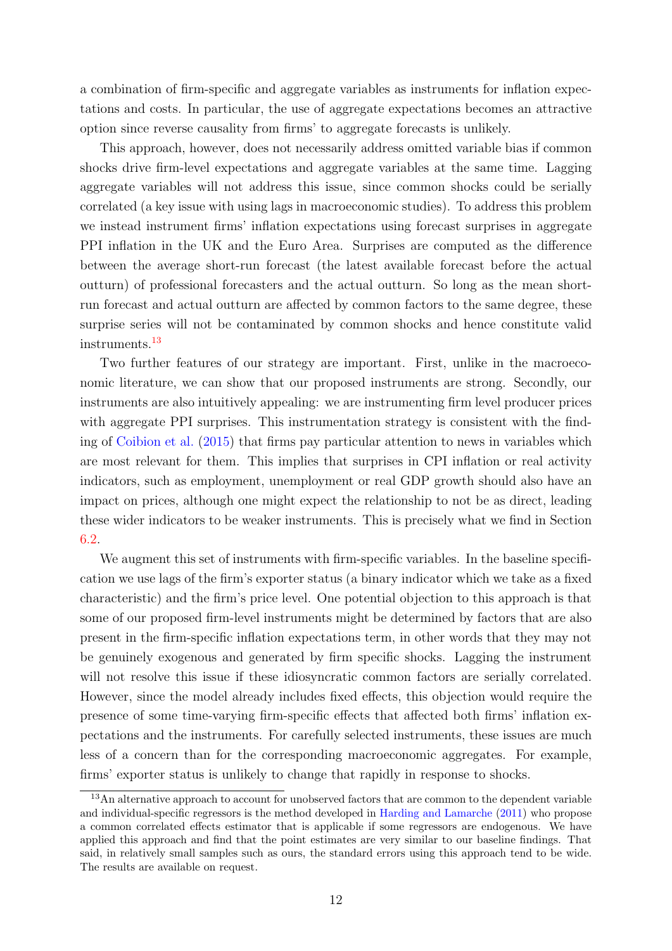a combination of firm-specific and aggregate variables as instruments for inflation expectations and costs. In particular, the use of aggregate expectations becomes an attractive option since reverse causality from firms' to aggregate forecasts is unlikely.

This approach, however, does not necessarily address omitted variable bias if common shocks drive firm-level expectations and aggregate variables at the same time. Lagging aggregate variables will not address this issue, since common shocks could be serially correlated (a key issue with using lags in macroeconomic studies). To address this problem we instead instrument firms' inflation expectations using forecast surprises in aggregate PPI inflation in the UK and the Euro Area. Surprises are computed as the difference between the average short-run forecast (the latest available forecast before the actual outturn) of professional forecasters and the actual outturn. So long as the mean shortrun forecast and actual outturn are affected by common factors to the same degree, these surprise series will not be contaminated by common shocks and hence constitute valid instruments.[13](#page-11-0)

Two further features of our strategy are important. First, unlike in the macroeconomic literature, we can show that our proposed instruments are strong. Secondly, our instruments are also intuitively appealing: we are instrumenting firm level producer prices with aggregate PPI surprises. This instrumentation strategy is consistent with the finding of [Coibion et al.](#page-16-1) [\(2015\)](#page-16-1) that firms pay particular attention to news in variables which are most relevant for them. This implies that surprises in CPI inflation or real activity indicators, such as employment, unemployment or real GDP growth should also have an impact on prices, although one might expect the relationship to not be as direct, leading these wider indicators to be weaker instruments. This is precisely what we find in Section [6.2.](#page-14-1)

We augment this set of instruments with firm-specific variables. In the baseline specification we use lags of the firm's exporter status (a binary indicator which we take as a fixed characteristic) and the firm's price level. One potential objection to this approach is that some of our proposed firm-level instruments might be determined by factors that are also present in the firm-specific inflation expectations term, in other words that they may not be genuinely exogenous and generated by firm specific shocks. Lagging the instrument will not resolve this issue if these idiosyncratic common factors are serially correlated. However, since the model already includes fixed effects, this objection would require the presence of some time-varying firm-specific effects that affected both firms' inflation expectations and the instruments. For carefully selected instruments, these issues are much less of a concern than for the corresponding macroeconomic aggregates. For example, firms' exporter status is unlikely to change that rapidly in response to shocks.

<span id="page-11-0"></span><sup>&</sup>lt;sup>13</sup>An alternative approach to account for unobserved factors that are common to the dependent variable and individual-specific regressors is the method developed in [Harding and Lamarche](#page-17-9) [\(2011\)](#page-17-9) who propose a common correlated effects estimator that is applicable if some regressors are endogenous. We have applied this approach and find that the point estimates are very similar to our baseline findings. That said, in relatively small samples such as ours, the standard errors using this approach tend to be wide. The results are available on request.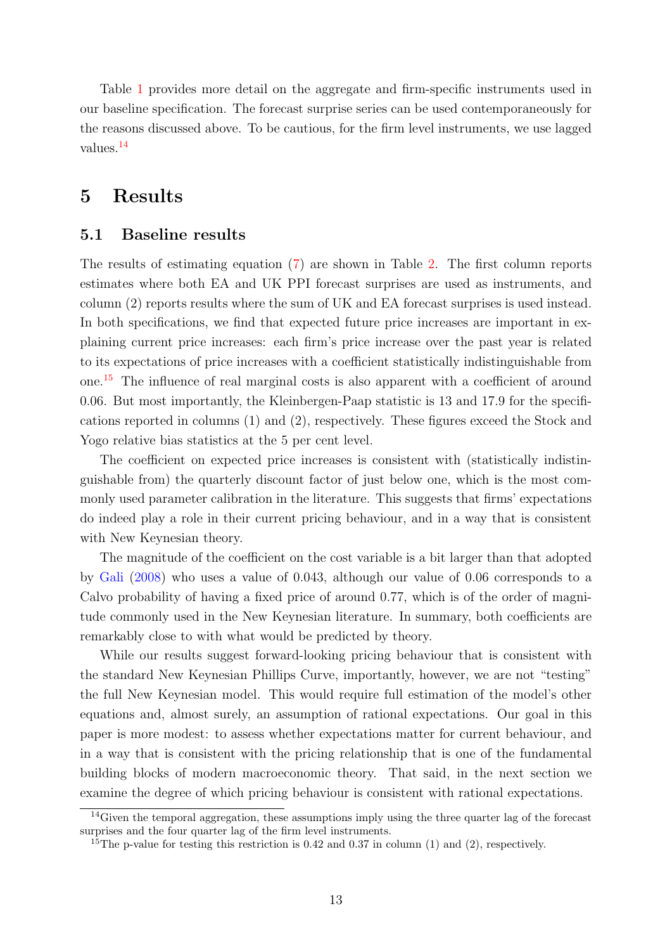Table [1](#page-19-0) provides more detail on the aggregate and firm-specific instruments used in our baseline specification. The forecast surprise series can be used contemporaneously for the reasons discussed above. To be cautious, for the firm level instruments, we use lagged values.[14](#page-12-1)

## <span id="page-12-0"></span>5 Results

#### 5.1 Baseline results

The results of estimating equation [\(7\)](#page-9-1) are shown in Table [2.](#page-20-0) The first column reports estimates where both EA and UK PPI forecast surprises are used as instruments, and column (2) reports results where the sum of UK and EA forecast surprises is used instead. In both specifications, we find that expected future price increases are important in explaining current price increases: each firm's price increase over the past year is related to its expectations of price increases with a coefficient statistically indistinguishable from one.[15](#page-12-2) The influence of real marginal costs is also apparent with a coefficient of around 0.06. But most importantly, the Kleinbergen-Paap statistic is 13 and 17.9 for the specifications reported in columns (1) and (2), respectively. These figures exceed the Stock and Yogo relative bias statistics at the 5 per cent level.

The coefficient on expected price increases is consistent with (statistically indistinguishable from) the quarterly discount factor of just below one, which is the most commonly used parameter calibration in the literature. This suggests that firms' expectations do indeed play a role in their current pricing behaviour, and in a way that is consistent with New Keynesian theory.

The magnitude of the coefficient on the cost variable is a bit larger than that adopted by [Gali](#page-16-8) [\(2008\)](#page-16-8) who uses a value of 0.043, although our value of 0.06 corresponds to a Calvo probability of having a fixed price of around 0.77, which is of the order of magnitude commonly used in the New Keynesian literature. In summary, both coefficients are remarkably close to with what would be predicted by theory.

While our results suggest forward-looking pricing behaviour that is consistent with the standard New Keynesian Phillips Curve, importantly, however, we are not "testing" the full New Keynesian model. This would require full estimation of the model's other equations and, almost surely, an assumption of rational expectations. Our goal in this paper is more modest: to assess whether expectations matter for current behaviour, and in a way that is consistent with the pricing relationship that is one of the fundamental building blocks of modern macroeconomic theory. That said, in the next section we examine the degree of which pricing behaviour is consistent with rational expectations.

<span id="page-12-1"></span> $14$ Given the temporal aggregation, these assumptions imply using the three quarter lag of the forecast surprises and the four quarter lag of the firm level instruments.

<span id="page-12-2"></span><sup>&</sup>lt;sup>15</sup>The p-value for testing this restriction is 0.42 and 0.37 in column (1) and (2), respectively.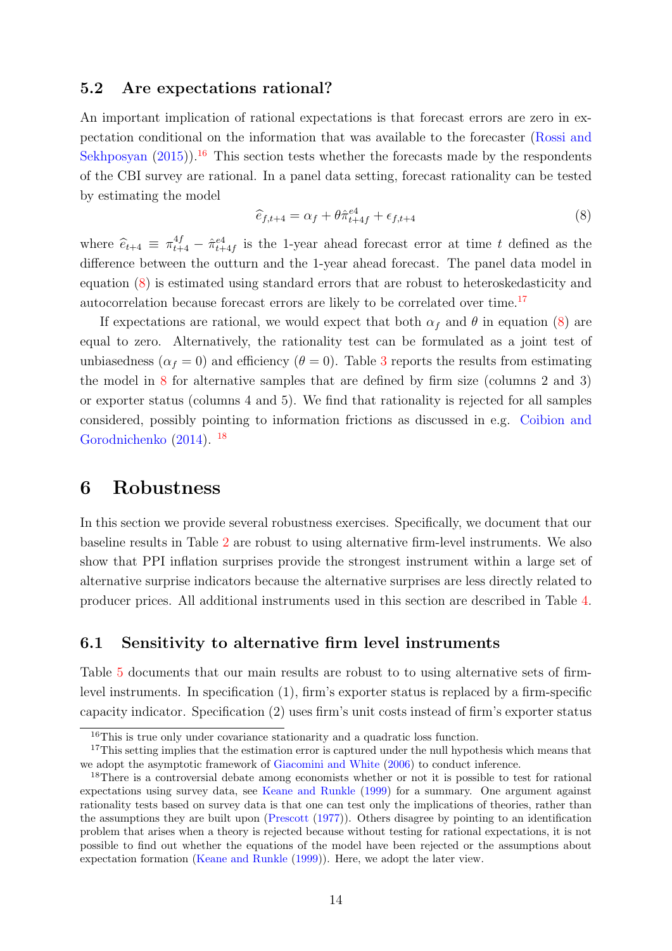#### <span id="page-13-1"></span>5.2 Are expectations rational?

An important implication of rational expectations is that forecast errors are zero in expectation conditional on the information that was available to the forecaster [\(Rossi and](#page-17-10) [Sekhposyan](#page-17-10)  $(2015)$ <sup>[16](#page-13-2)</sup>. This section tests whether the forecasts made by the respondents of the CBI survey are rational. In a panel data setting, forecast rationality can be tested by estimating the model

<span id="page-13-3"></span>
$$
\widehat{e}_{f,t+4} = \alpha_f + \theta \widehat{\pi}_{t+4f}^{e4} + \epsilon_{f,t+4}
$$
\n(8)

where  $\hat{e}_{t+4} \equiv \pi_{t+4}^{4f} - \hat{\pi}_{t+4f}^{e4}$  is the 1-year ahead forecast error at time t defined as the difference between the outturn and the 1-year ahead forecast. The panel data model in equation [\(8\)](#page-13-3) is estimated using standard errors that are robust to heteroskedasticity and autocorrelation because forecast errors are likely to be correlated over time.[17](#page-13-4)

If expectations are rational, we would expect that both  $\alpha_f$  and  $\theta$  in equation [\(8\)](#page-13-3) are equal to zero. Alternatively, the rationality test can be formulated as a joint test of unbiasedness ( $\alpha_f = 0$ ) and efficiency ( $\theta = 0$ ). Table [3](#page-20-1) reports the results from estimating the model in [8](#page-13-3) for alternative samples that are defined by firm size (columns 2 and 3) or exporter status (columns 4 and 5). We find that rationality is rejected for all samples considered, possibly pointing to information frictions as discussed in e.g. [Coibion and](#page-16-0) [Gorodnichenko](#page-16-0) [\(2014\)](#page-16-0). [18](#page-13-5)

### <span id="page-13-0"></span>6 Robustness

In this section we provide several robustness exercises. Specifically, we document that our baseline results in Table [2](#page-20-0) are robust to using alternative firm-level instruments. We also show that PPI inflation surprises provide the strongest instrument within a large set of alternative surprise indicators because the alternative surprises are less directly related to producer prices. All additional instruments used in this section are described in Table [4.](#page-21-0)

#### 6.1 Sensitivity to alternative firm level instruments

Table [5](#page-22-0) documents that our main results are robust to to using alternative sets of firmlevel instruments. In specification (1), firm's exporter status is replaced by a firm-specific capacity indicator. Specification (2) uses firm's unit costs instead of firm's exporter status

<span id="page-13-4"></span><span id="page-13-2"></span><sup>16</sup>This is true only under covariance stationarity and a quadratic loss function.

<sup>&</sup>lt;sup>17</sup>This setting implies that the estimation error is captured under the null hypothesis which means that we adopt the asymptotic framework of [Giacomini and White](#page-17-11) [\(2006\)](#page-17-11) to conduct inference.

<span id="page-13-5"></span><sup>&</sup>lt;sup>18</sup>There is a controversial debate among economists whether or not it is possible to test for rational expectations using survey data, see [Keane and Runkle](#page-17-12) [\(1999\)](#page-17-12) for a summary. One argument against rationality tests based on survey data is that one can test only the implications of theories, rather than the assumptions they are built upon [\(Prescott](#page-17-13) [\(1977\)](#page-17-13)). Others disagree by pointing to an identification problem that arises when a theory is rejected because without testing for rational expectations, it is not possible to find out whether the equations of the model have been rejected or the assumptions about expectation formation [\(Keane and Runkle](#page-17-12) [\(1999\)](#page-17-12)). Here, we adopt the later view.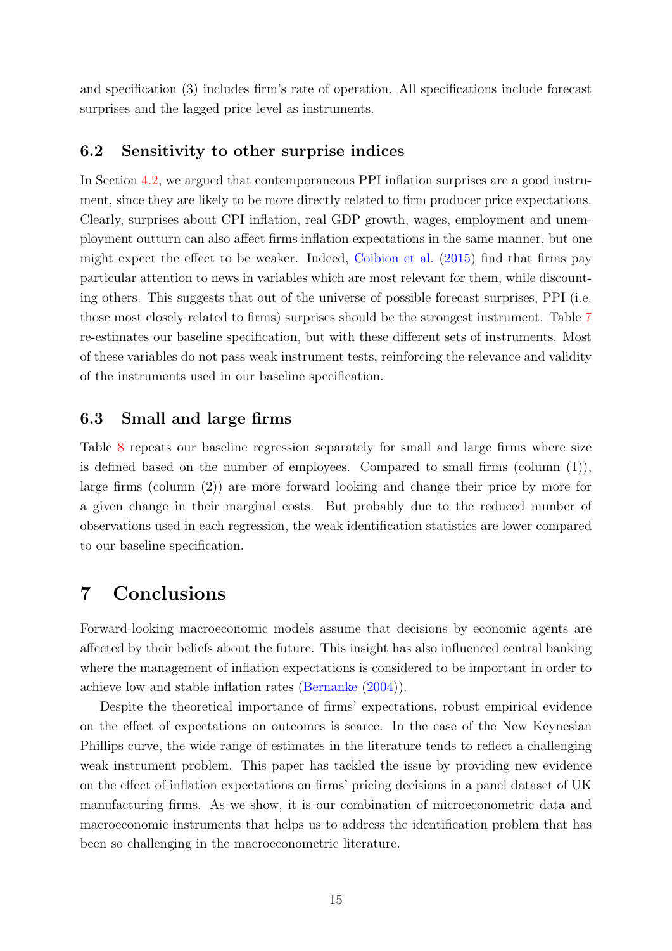and specification (3) includes firm's rate of operation. All specifications include forecast surprises and the lagged price level as instruments.

#### <span id="page-14-1"></span>6.2 Sensitivity to other surprise indices

In Section [4.2,](#page-10-1) we argued that contemporaneous PPI inflation surprises are a good instrument, since they are likely to be more directly related to firm producer price expectations. Clearly, surprises about CPI inflation, real GDP growth, wages, employment and unemployment outturn can also affect firms inflation expectations in the same manner, but one might expect the effect to be weaker. Indeed, [Coibion et al.](#page-16-1) [\(2015\)](#page-16-1) find that firms pay particular attention to news in variables which are most relevant for them, while discounting others. This suggests that out of the universe of possible forecast surprises, PPI (i.e. those most closely related to firms) surprises should be the strongest instrument. Table [7](#page-23-1) re-estimates our baseline specification, but with these different sets of instruments. Most of these variables do not pass weak instrument tests, reinforcing the relevance and validity of the instruments used in our baseline specification.

### 6.3 Small and large firms

Table [8](#page-24-1) repeats our baseline regression separately for small and large firms where size is defined based on the number of employees. Compared to small firms (column  $(1)$ ), large firms (column (2)) are more forward looking and change their price by more for a given change in their marginal costs. But probably due to the reduced number of observations used in each regression, the weak identification statistics are lower compared to our baseline specification.

## <span id="page-14-0"></span>7 Conclusions

Forward-looking macroeconomic models assume that decisions by economic agents are affected by their beliefs about the future. This insight has also influenced central banking where the management of inflation expectations is considered to be important in order to achieve low and stable inflation rates [\(Bernanke](#page-16-11) [\(2004\)](#page-16-11)).

Despite the theoretical importance of firms' expectations, robust empirical evidence on the effect of expectations on outcomes is scarce. In the case of the New Keynesian Phillips curve, the wide range of estimates in the literature tends to reflect a challenging weak instrument problem. This paper has tackled the issue by providing new evidence on the effect of inflation expectations on firms' pricing decisions in a panel dataset of UK manufacturing firms. As we show, it is our combination of microeconometric data and macroeconomic instruments that helps us to address the identification problem that has been so challenging in the macroeconometric literature.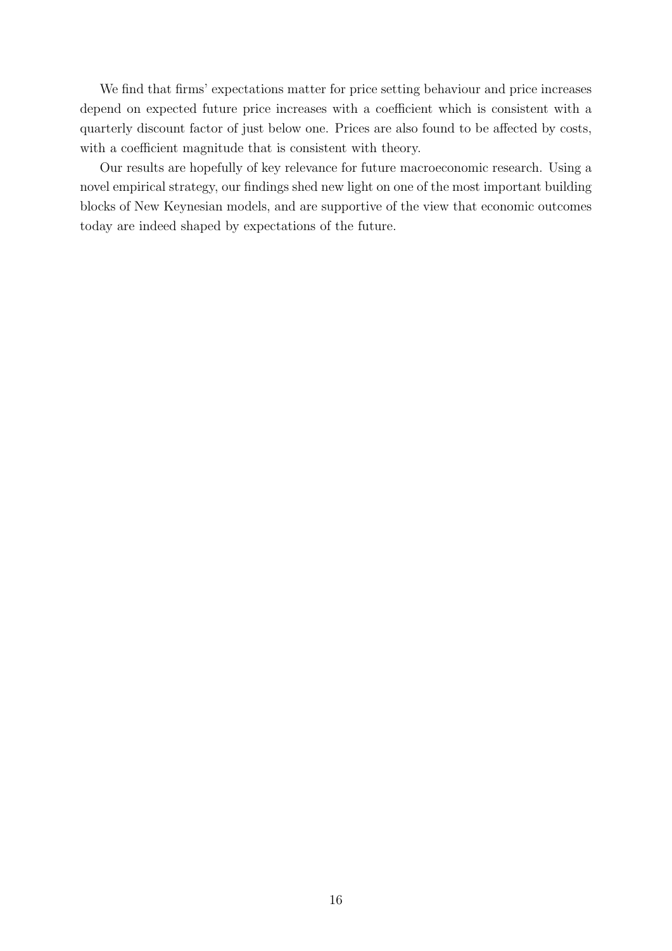We find that firms' expectations matter for price setting behaviour and price increases depend on expected future price increases with a coefficient which is consistent with a quarterly discount factor of just below one. Prices are also found to be affected by costs, with a coefficient magnitude that is consistent with theory.

Our results are hopefully of key relevance for future macroeconomic research. Using a novel empirical strategy, our findings shed new light on one of the most important building blocks of New Keynesian models, and are supportive of the view that economic outcomes today are indeed shaped by expectations of the future.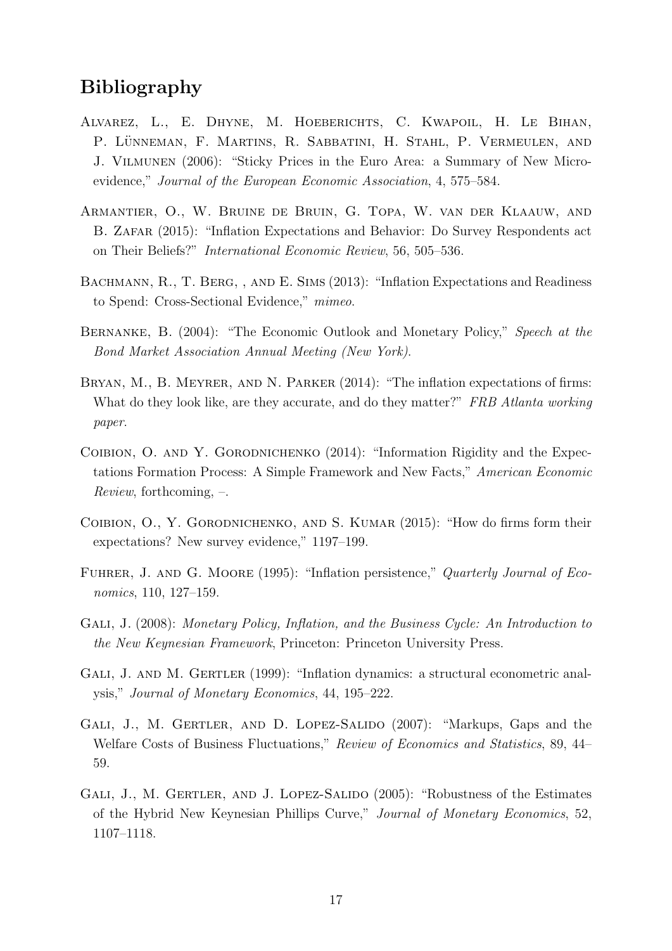## Bibliography

- <span id="page-16-2"></span>Alvarez, L., E. Dhyne, M. Hoeberichts, C. Kwapoil, H. Le Bihan, P. LÜNNEMAN, F. MARTINS, R. SABBATINI, H. STAHL, P. VERMEULEN, AND J. Vilmunen (2006): "Sticky Prices in the Euro Area: a Summary of New Microevidence," Journal of the European Economic Association, 4, 575–584.
- <span id="page-16-3"></span>Armantier, O., W. Bruine de Bruin, G. Topa, W. van der Klaauw, and B. Zafar (2015): "Inflation Expectations and Behavior: Do Survey Respondents act on Their Beliefs?" International Economic Review, 56, 505–536.
- <span id="page-16-4"></span>BACHMANN, R., T. BERG, , AND E. SIMS (2013): "Inflation Expectations and Readiness to Spend: Cross-Sectional Evidence," mimeo.
- <span id="page-16-11"></span>Bernanke, B. (2004): "The Economic Outlook and Monetary Policy," Speech at the Bond Market Association Annual Meeting (New York).
- <span id="page-16-5"></span>BRYAN, M., B. MEYRER, AND N. PARKER (2014): "The inflation expectations of firms: What do they look like, are they accurate, and do they matter?" FRB Atlanta working paper.
- <span id="page-16-0"></span>COIBION, O. AND Y. GORODNICHENKO (2014): "Information Rigidity and the Expectations Formation Process: A Simple Framework and New Facts," American Economic Review, forthcoming, –.
- <span id="page-16-1"></span>COIBION, O., Y. GORODNICHENKO, AND S. KUMAR (2015): "How do firms form their expectations? New survey evidence," 1197–199.
- <span id="page-16-9"></span>FUHRER, J. AND G. MOORE (1995): "Inflation persistence," Quarterly Journal of Economics, 110, 127–159.
- <span id="page-16-8"></span>Gali, J. (2008): Monetary Policy, Inflation, and the Business Cycle: An Introduction to the New Keynesian Framework, Princeton: Princeton University Press.
- <span id="page-16-6"></span>GALI, J. AND M. GERTLER (1999): "Inflation dynamics: a structural econometric analysis," Journal of Monetary Economics, 44, 195–222.
- <span id="page-16-7"></span>GALI, J., M. GERTLER, AND D. LOPEZ-SALIDO (2007): "Markups, Gaps and the Welfare Costs of Business Fluctuations," Review of Economics and Statistics, 89, 44– 59.
- <span id="page-16-10"></span>GALI, J., M. GERTLER, AND J. LOPEZ-SALIDO (2005): "Robustness of the Estimates of the Hybrid New Keynesian Phillips Curve," Journal of Monetary Economics, 52, 1107–1118.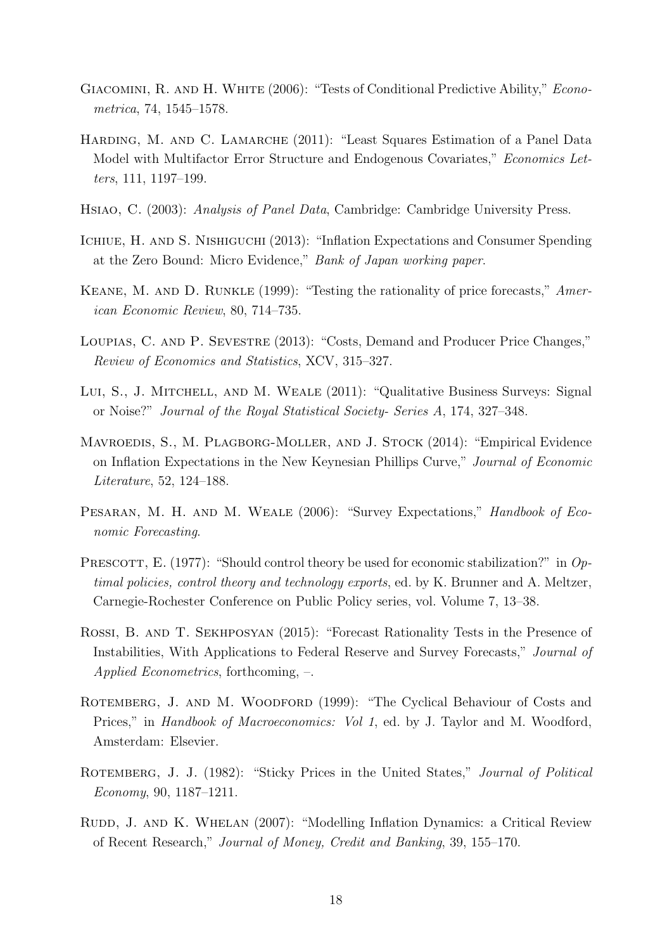- <span id="page-17-11"></span>GIACOMINI, R. AND H. WHITE (2006): "Tests of Conditional Predictive Ability," *Econo*metrica, 74, 1545–1578.
- <span id="page-17-9"></span>HARDING, M. AND C. LAMARCHE (2011): "Least Squares Estimation of a Panel Data Model with Multifactor Error Structure and Endogenous Covariates," Economics Letters, 111, 1197–199.
- <span id="page-17-7"></span>Hsiao, C. (2003): Analysis of Panel Data, Cambridge: Cambridge University Press.
- <span id="page-17-4"></span>Ichiue, H. and S. Nishiguchi (2013): "Inflation Expectations and Consumer Spending at the Zero Bound: Micro Evidence," Bank of Japan working paper.
- <span id="page-17-12"></span>Keane, M. and D. Runkle (1999): "Testing the rationality of price forecasts," American Economic Review, 80, 714–735.
- <span id="page-17-3"></span>Loupias, C. and P. Sevestre (2013): "Costs, Demand and Producer Price Changes," Review of Economics and Statistics, XCV, 315–327.
- <span id="page-17-5"></span>Lui, S., J. Mitchell, and M. Weale (2011): "Qualitative Business Surveys: Signal or Noise?" Journal of the Royal Statistical Society- Series A, 174, 327–348.
- <span id="page-17-0"></span>MAVROEDIS, S., M. PLAGBORG-MOLLER, AND J. STOCK (2014): "Empirical Evidence on Inflation Expectations in the New Keynesian Phillips Curve," Journal of Economic Literature, 52, 124–188.
- <span id="page-17-2"></span>PESARAN, M. H. AND M. WEALE (2006): "Survey Expectations," Handbook of Economic Forecasting.
- <span id="page-17-13"></span>PRESCOTT, E. (1977): "Should control theory be used for economic stabilization?" in  $Op$ timal policies, control theory and technology exports, ed. by K. Brunner and A. Meltzer, Carnegie-Rochester Conference on Public Policy series, vol. Volume 7, 13–38.
- <span id="page-17-10"></span>Rossi, B. and T. Sekhposyan (2015): "Forecast Rationality Tests in the Presence of Instabilities, With Applications to Federal Reserve and Survey Forecasts," Journal of Applied Econometrics, forthcoming, –.
- <span id="page-17-6"></span>ROTEMBERG, J. AND M. WOODFORD (1999): "The Cyclical Behaviour of Costs and Prices," in *Handbook of Macroeconomics: Vol 1*, ed. by J. Taylor and M. Woodford, Amsterdam: Elsevier.
- <span id="page-17-1"></span>ROTEMBERG, J. J. (1982): "Sticky Prices in the United States," *Journal of Political* Economy, 90, 1187–1211.
- <span id="page-17-8"></span>Rudd, J. and K. Whelan (2007): "Modelling Inflation Dynamics: a Critical Review of Recent Research," Journal of Money, Credit and Banking, 39, 155–170.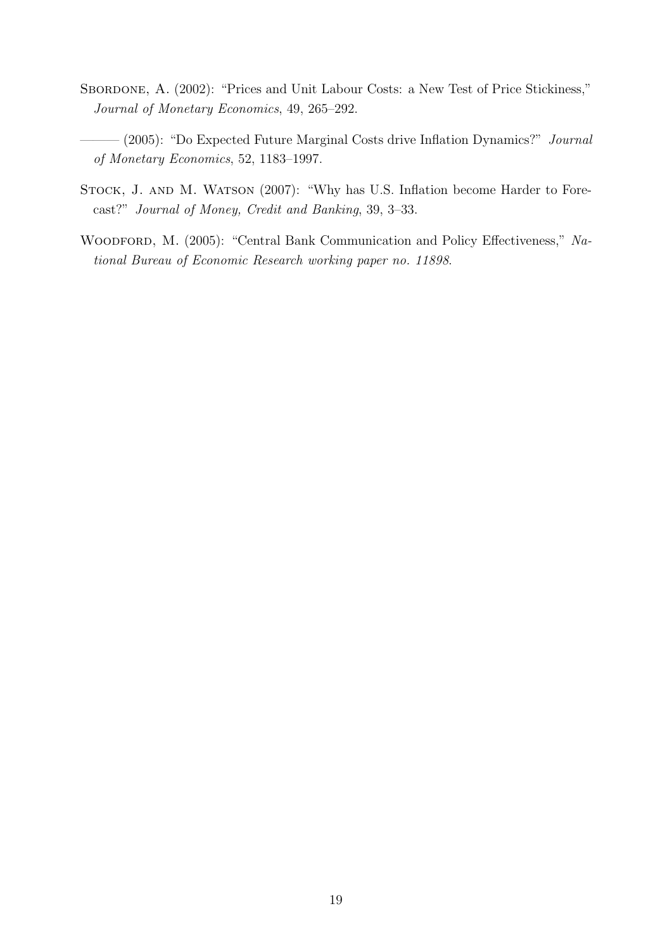- <span id="page-18-1"></span>SBORDONE, A. (2002): "Prices and Unit Labour Costs: a New Test of Price Stickiness," Journal of Monetary Economics, 49, 265–292.
- <span id="page-18-2"></span>— (2005): "Do Expected Future Marginal Costs drive Inflation Dynamics?" Journal of Monetary Economics, 52, 1183–1997.
- <span id="page-18-3"></span>STOCK, J. AND M. WATSON (2007): "Why has U.S. Inflation become Harder to Forecast?" Journal of Money, Credit and Banking, 39, 3–33.
- <span id="page-18-0"></span>WOODFORD, M. (2005): "Central Bank Communication and Policy Effectiveness," National Bureau of Economic Research working paper no. 11898.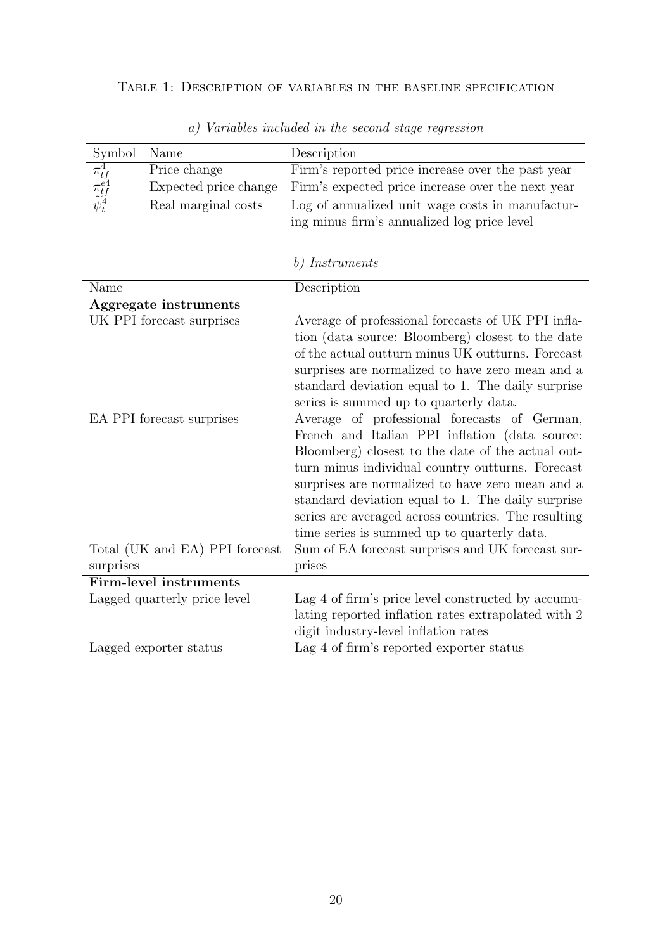### <span id="page-19-0"></span>Table 1: Description of variables in the baseline specification

| Symbol                                                                               | Name                  | Description                                       |
|--------------------------------------------------------------------------------------|-----------------------|---------------------------------------------------|
|                                                                                      | Price change          | Firm's reported price increase over the past year |
| $\begin{array}{c}\n\pi^4_{tf} \\ \pi^{e4}_{tf} \\ \widetilde{\psi}^4_t\n\end{array}$ | Expected price change | Firm's expected price increase over the next year |
|                                                                                      | Real marginal costs   | Log of annualized unit wage costs in manufactur-  |
|                                                                                      |                       | ing minus firm's annualized log price level       |

a) Variables included in the second stage regression

### b) Instruments

| Name                           | Description                                         |
|--------------------------------|-----------------------------------------------------|
| Aggregate instruments          |                                                     |
| UK PPI forecast surprises      | Average of professional forecasts of UK PPI infla-  |
|                                | tion (data source: Bloomberg) closest to the date   |
|                                | of the actual outturn minus UK outturns. Forecast   |
|                                | surprises are normalized to have zero mean and a    |
|                                | standard deviation equal to 1. The daily surprise   |
|                                | series is summed up to quarterly data.              |
| EA PPI forecast surprises      | Average of professional forecasts of German,        |
|                                | French and Italian PPI inflation (data source:      |
|                                | Bloomberg) closest to the date of the actual out-   |
|                                | turn minus individual country outturns. Forecast    |
|                                | surprises are normalized to have zero mean and a    |
|                                | standard deviation equal to 1. The daily surprise   |
|                                | series are averaged across countries. The resulting |
|                                | time series is summed up to quarterly data.         |
| Total (UK and EA) PPI forecast | Sum of EA forecast surprises and UK forecast sur-   |
| surprises                      | prises                                              |
| <b>Firm-level instruments</b>  |                                                     |
| Lagged quarterly price level   | Lag 4 of firm's price level constructed by accumu-  |
|                                | lating reported inflation rates extrapolated with 2 |
|                                | digit industry-level inflation rates                |
| Lagged exporter status         | Lag 4 of firm's reported exporter status            |
|                                |                                                     |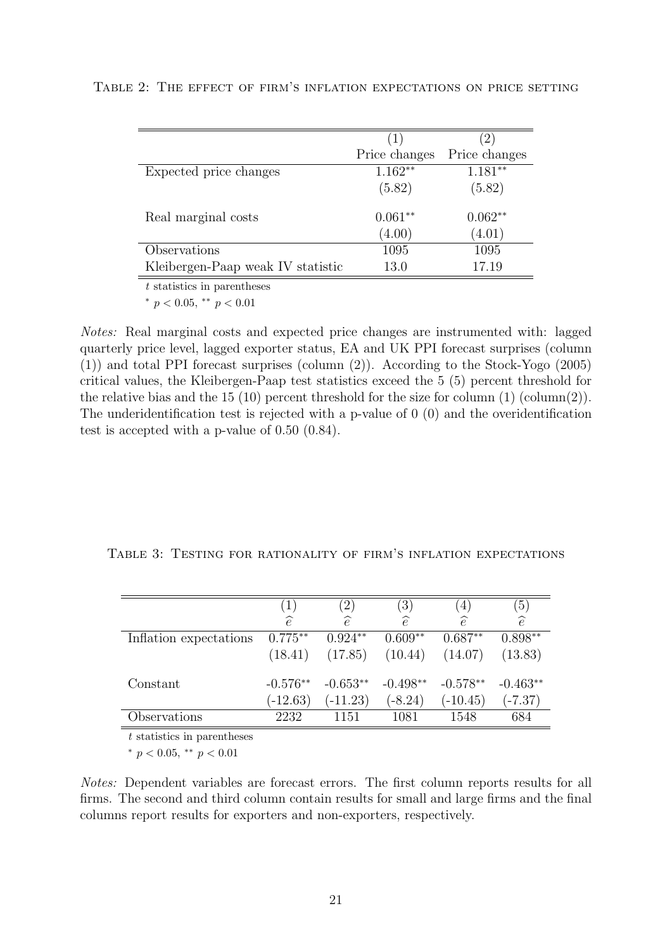|                                   | (1)           |               |
|-----------------------------------|---------------|---------------|
|                                   | Price changes | Price changes |
| Expected price changes            | $1.162**$     | $1.181**$     |
|                                   | (5.82)        | (5.82)        |
| Real marginal costs               | $0.061**$     | $0.062**$     |
|                                   | (4.00)        | (4.01)        |
| Observations                      | 1095          | 1095          |
| Kleibergen-Paap weak IV statistic | 13.0          | 17.19         |
|                                   |               |               |

<span id="page-20-0"></span>Table 2: The effect of firm's inflation expectations on price setting

 $\boldsymbol{t}$  statistics in parentheses

\*  $p < 0.05$ , \*\*  $p < 0.01$ 

Notes: Real marginal costs and expected price changes are instrumented with: lagged quarterly price level, lagged exporter status, EA and UK PPI forecast surprises (column (1)) and total PPI forecast surprises (column (2)). According to the Stock-Yogo (2005) critical values, the Kleibergen-Paap test statistics exceed the 5 (5) percent threshold for the relative bias and the 15 (10) percent threshold for the size for column  $(1)$  (column(2)). The underidentification test is rejected with a p-value of 0 (0) and the overidentification test is accepted with a p-value of 0.50 (0.84).

<span id="page-20-1"></span>

|  |  |  |  |  | TABLE 3: TESTING FOR RATIONALITY OF FIRM'S INFLATION EXPECTATIONS |
|--|--|--|--|--|-------------------------------------------------------------------|
|--|--|--|--|--|-------------------------------------------------------------------|

|                        | $\left(1\right)$ | $^{\prime}2)$ | (3)           | $\left(4\right)$ | (5)           |
|------------------------|------------------|---------------|---------------|------------------|---------------|
|                        | $\widehat{e}$    | $\widehat{e}$ | $\widehat{e}$ | $\widehat{e}$    | $\widehat{e}$ |
| Inflation expectations | $0.775**$        | $0.924**$     | $0.609**$     | $0.687**$        | $0.898**$     |
|                        | (18.41)          | (17.85)       | (10.44)       | (14.07)          | (13.83)       |
| Constant               | $-0.576**$       | $-0.653**$    | $-0.498**$    | $-0.578**$       | $-0.463**$    |
|                        | $(-12.63)$       | $(-11.23)$    | $(-8.24)$     | $(-10.45)$       | $(-7.37)$     |
| Observations           | 2232             | 1151          | 1081          | 1548             | 684           |

t statistics in parentheses

\*  $p < 0.05$ , \*\*  $p < 0.01$ 

Notes: Dependent variables are forecast errors. The first column reports results for all firms. The second and third column contain results for small and large firms and the final columns report results for exporters and non-exporters, respectively.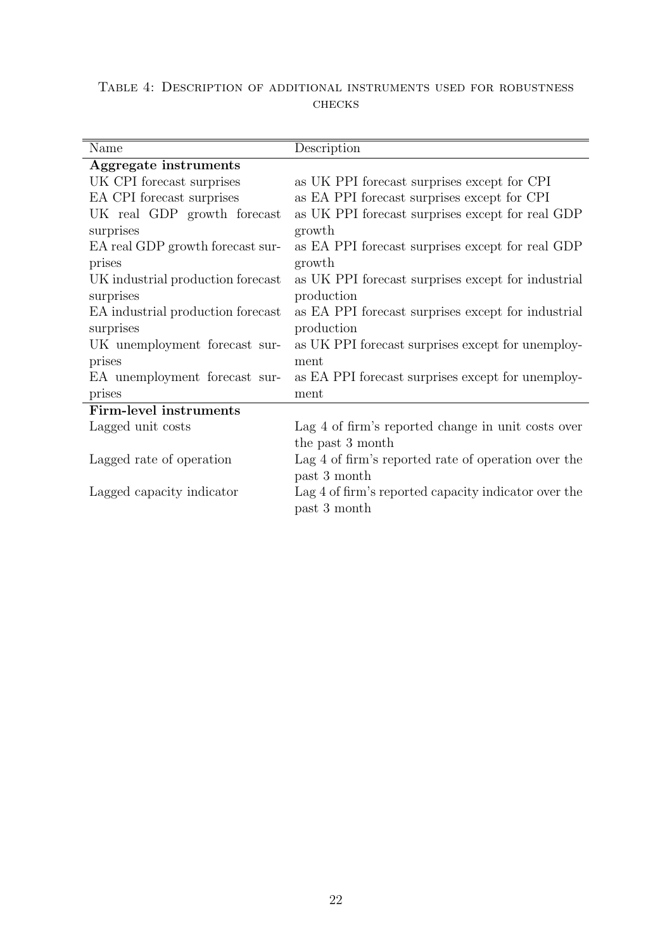<span id="page-21-0"></span>

|  |        | TABLE 4: DESCRIPTION OF ADDITIONAL INSTRUMENTS USED FOR ROBUSTNESS |  |  |
|--|--------|--------------------------------------------------------------------|--|--|
|  | CHECKS |                                                                    |  |  |

| Name                              | Description                                          |
|-----------------------------------|------------------------------------------------------|
| Aggregate instruments             |                                                      |
| UK CPI forecast surprises         | as UK PPI forecast surprises except for CPI          |
| EA CPI forecast surprises         | as EA PPI forecast surprises except for CPI          |
| UK real GDP growth forecast       | as UK PPI forecast surprises except for real GDP     |
| surprises                         | growth                                               |
| EA real GDP growth forecast sur-  | as EA PPI forecast surprises except for real GDP     |
| prises                            | growth                                               |
| UK industrial production forecast | as UK PPI forecast surprises except for industrial   |
| surprises                         | production                                           |
| EA industrial production forecast | as EA PPI forecast surprises except for industrial   |
| surprises                         | production                                           |
| UK unemployment forecast sur-     | as UK PPI forecast surprises except for unemploy-    |
| prises                            | ment                                                 |
| EA unemployment forecast sur-     | as EA PPI forecast surprises except for unemploy-    |
| prises                            | ment                                                 |
| Firm-level instruments            |                                                      |
| Lagged unit costs                 | Lag 4 of firm's reported change in unit costs over   |
|                                   | the past 3 month                                     |
| Lagged rate of operation          | Lag 4 of firm's reported rate of operation over the  |
|                                   | past 3 month                                         |
| Lagged capacity indicator         | Lag 4 of firm's reported capacity indicator over the |
|                                   | past 3 month                                         |
|                                   |                                                      |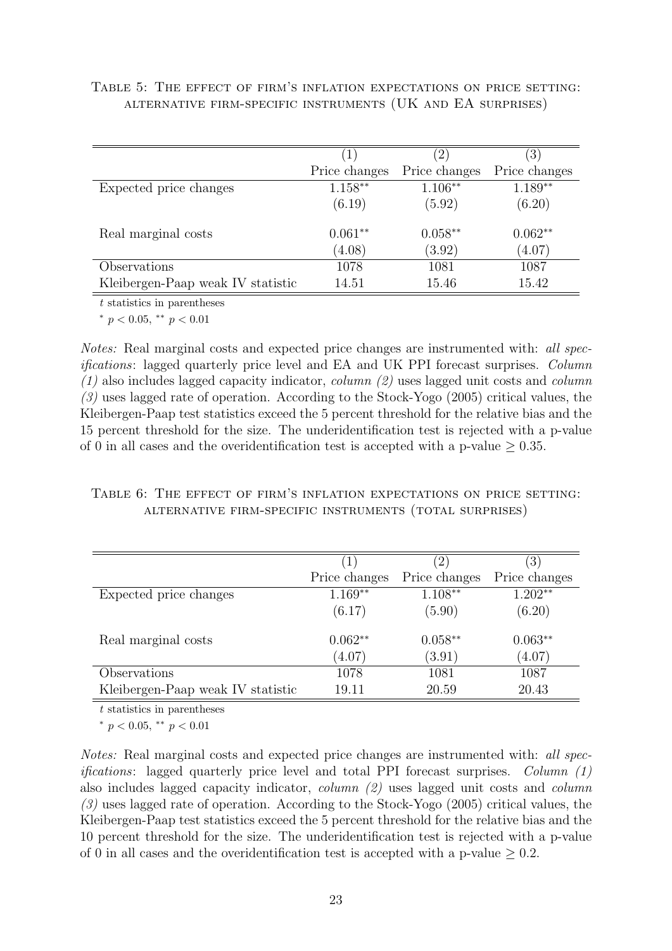|                                   |               | $\left( 2\right)$ | $\left 3\right\rangle$ |
|-----------------------------------|---------------|-------------------|------------------------|
|                                   | Price changes | Price changes     | Price changes          |
| Expected price changes            | $1.158**$     | $1.106**$         | $1.189**$              |
|                                   | (6.19)        | (5.92)            | (6.20)                 |
| Real marginal costs               | $0.061**$     | $0.058**$         | $0.062**$              |
|                                   | (4.08)        | (3.92)            | (4.07)                 |
| Observations                      | 1078          | 1081              | 1087                   |
| Kleibergen-Paap weak IV statistic | 14.51         | 15.46             | 15.42                  |

<span id="page-22-0"></span>Table 5: The effect of firm's inflation expectations on price setting: alternative firm-specific instruments (UK and EA surprises)

t statistics in parentheses

<sup>∗</sup> p < 0.05, ∗∗ p < 0.01

Notes: Real marginal costs and expected price changes are instrumented with: all specifications: lagged quarterly price level and EA and UK PPI forecast surprises. Column  $(1)$  also includes lagged capacity indicator, *column*  $(2)$  uses lagged unit costs and *column* (3) uses lagged rate of operation. According to the Stock-Yogo (2005) critical values, the Kleibergen-Paap test statistics exceed the 5 percent threshold for the relative bias and the 15 percent threshold for the size. The underidentification test is rejected with a p-value of 0 in all cases and the overidentification test is accepted with a p-value  $\geq 0.35$ .

### Table 6: The effect of firm's inflation expectations on price setting: alternative firm-specific instruments (total surprises)

|                                   | $\perp$       | $\left(2\right)$ | $\left(3\right)$ |
|-----------------------------------|---------------|------------------|------------------|
|                                   | Price changes | Price changes    | Price changes    |
| Expected price changes            | $1.169**$     | $1.108**$        | $1.202**$        |
|                                   | (6.17)        | (5.90)           | (6.20)           |
| Real marginal costs               | $0.062**$     | $0.058**$        | $0.063**$        |
|                                   | (4.07)        | (3.91)           | (4.07)           |
| Observations                      | 1078          | 1081             | 1087             |
| Kleibergen-Paap weak IV statistic | 19.11         | 20.59            | 20.43            |

t statistics in parentheses

 $*$  p < 0.05,  $*$  p < 0.01

Notes: Real marginal costs and expected price changes are instrumented with: all specifications: lagged quarterly price level and total PPI forecast surprises. Column (1) also includes lagged capacity indicator, column (2) uses lagged unit costs and column (3) uses lagged rate of operation. According to the Stock-Yogo (2005) critical values, the Kleibergen-Paap test statistics exceed the 5 percent threshold for the relative bias and the 10 percent threshold for the size. The underidentification test is rejected with a p-value of 0 in all cases and the overidentification test is accepted with a p-value  $\geq 0.2$ .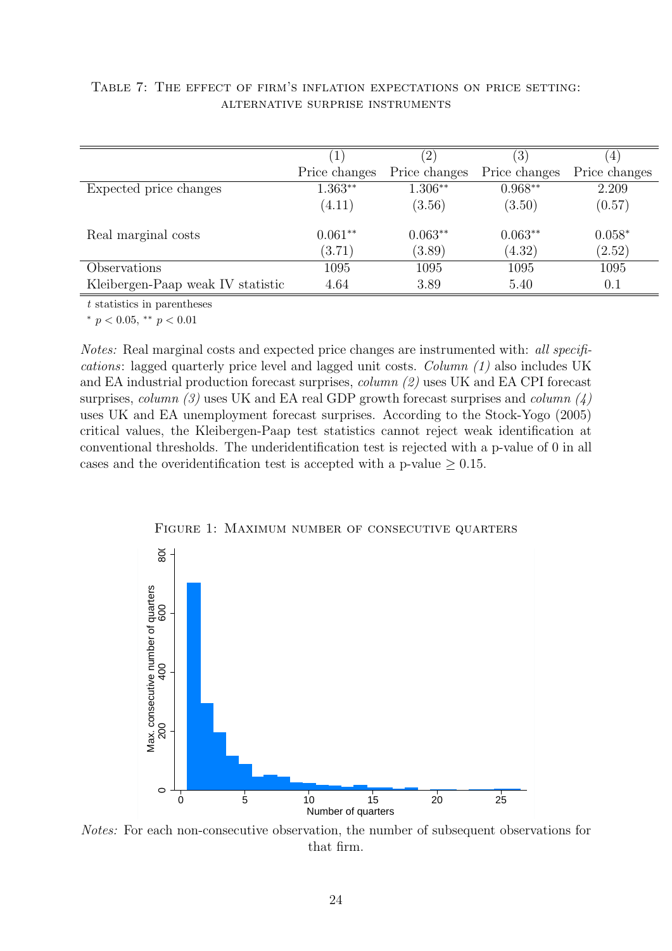|                                   | 1             | $^{\prime}2)$ | (3)           | 4             |
|-----------------------------------|---------------|---------------|---------------|---------------|
|                                   | Price changes | Price changes | Price changes | Price changes |
| Expected price changes            | $1.363**$     | $1.306**$     | $0.968**$     | 2.209         |
|                                   | (4.11)        | (3.56)        | (3.50)        | (0.57)        |
| Real marginal costs               | $0.061**$     | $0.063**$     | $0.063**$     | $0.058*$      |
|                                   | (3.71)        | (3.89)        | (4.32)        | (2.52)        |
| Observations                      | 1095          | 1095          | 1095          | 1095          |
| Kleibergen-Paap weak IV statistic | 4.64          | 3.89          | 5.40          | 0.1           |

#### <span id="page-23-1"></span>Table 7: The effect of firm's inflation expectations on price setting: alternative surprise instruments

t statistics in parentheses

\*  $p < 0.05$ , \*\*  $p < 0.01$ 

Notes: Real marginal costs and expected price changes are instrumented with: all specifications: lagged quarterly price level and lagged unit costs. Column (1) also includes UK and EA industrial production forecast surprises, column (2) uses UK and EA CPI forecast surprises, column (3) uses UK and EA real GDP growth forecast surprises and column  $(4)$ uses UK and EA unemployment forecast surprises. According to the Stock-Yogo (2005) critical values, the Kleibergen-Paap test statistics cannot reject weak identification at conventional thresholds. The underidentification test is rejected with a p-value of 0 in all cases and the overidentification test is accepted with a p-value  $\geq 0.15$ .

<span id="page-23-0"></span>

Figure 1: Maximum number of consecutive quarters

Notes: For each non-consecutive observation, the number of subsequent observations for that firm.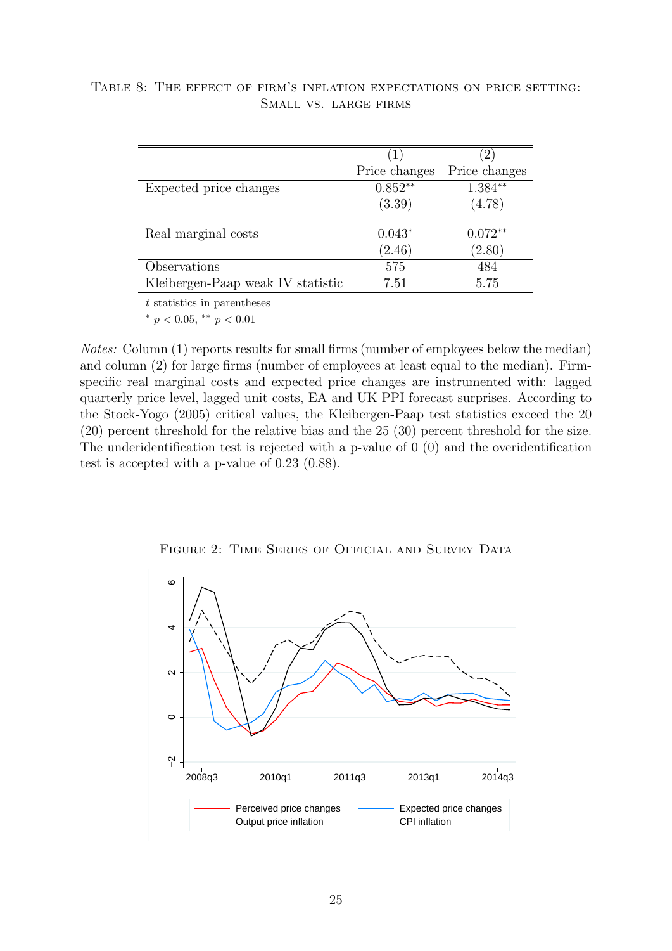|                                   | $\left(1\right)$ |               |
|-----------------------------------|------------------|---------------|
|                                   | Price changes    | Price changes |
| Expected price changes            | $0.852**$        | $1.384**$     |
|                                   | (3.39)           | (4.78)        |
| Real marginal costs               | $0.043*$         | $0.072**$     |
|                                   | (2.46)           | (2.80)        |
| Observations                      | 575              | 484           |
| Kleibergen-Paap weak IV statistic | 7.51             | 5.75          |

<span id="page-24-1"></span>Table 8: The effect of firm's inflation expectations on price setting: Small vs. large firms

t statistics in parentheses

<sup>∗</sup> p < 0.05, ∗∗ p < 0.01

Notes: Column (1) reports results for small firms (number of employees below the median) and column (2) for large firms (number of employees at least equal to the median). Firmspecific real marginal costs and expected price changes are instrumented with: lagged quarterly price level, lagged unit costs, EA and UK PPI forecast surprises. According to the Stock-Yogo (2005) critical values, the Kleibergen-Paap test statistics exceed the 20 (20) percent threshold for the relative bias and the 25 (30) percent threshold for the size. The underidentification test is rejected with a p-value of 0 (0) and the overidentification test is accepted with a p-value of 0.23 (0.88).

FIGURE 2: TIME SERIES OF OFFICIAL AND SURVEY DATA

<span id="page-24-0"></span>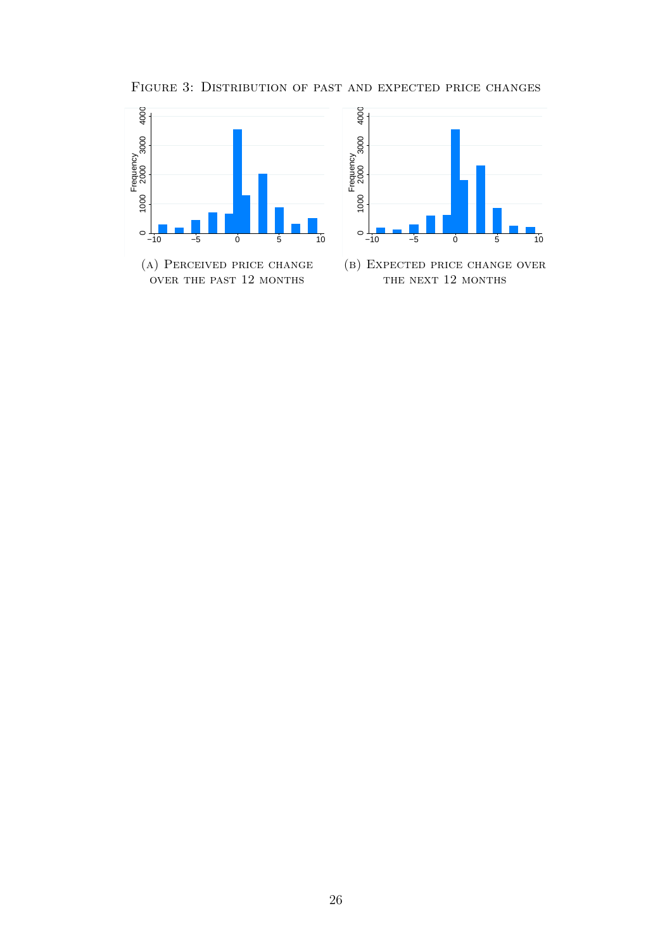FIGURE 3: DISTRIBUTION OF PAST AND EXPECTED PRICE CHANGES

<span id="page-25-0"></span>



(b) Expected price change over THE NEXT 12 MONTHS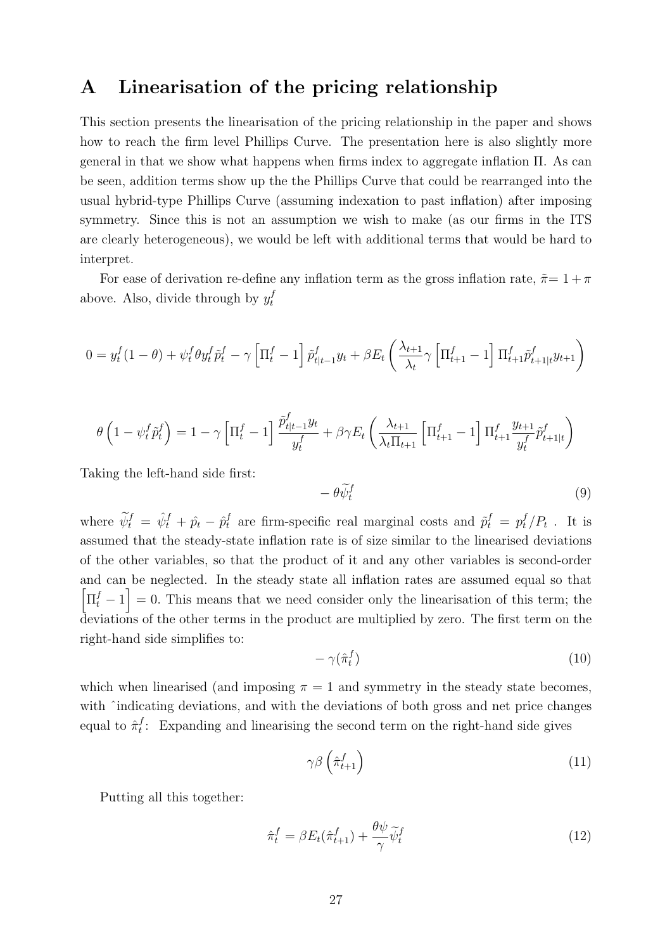## <span id="page-26-0"></span>A Linearisation of the pricing relationship

This section presents the linearisation of the pricing relationship in the paper and shows how to reach the firm level Phillips Curve. The presentation here is also slightly more general in that we show what happens when firms index to aggregate inflation Π. As can be seen, addition terms show up the the Phillips Curve that could be rearranged into the usual hybrid-type Phillips Curve (assuming indexation to past inflation) after imposing symmetry. Since this is not an assumption we wish to make (as our firms in the ITS are clearly heterogeneous), we would be left with additional terms that would be hard to interpret.

For ease of derivation re-define any inflation term as the gross inflation rate,  $\tilde{\pi}=1+\pi$ above. Also, divide through by  $y_t^f$ t

$$
0 = y_t^f(1-\theta) + \psi_t^f \theta y_t^f \tilde{p}_t^f - \gamma \left[ \Pi_t^f - 1 \right] \tilde{p}_{t|t-1}^f y_t + \beta E_t \left( \frac{\lambda_{t+1}}{\lambda_t} \gamma \left[ \Pi_{t+1}^f - 1 \right] \Pi_{t+1}^f \tilde{p}_{t+1|t}^f y_{t+1} \right)
$$

$$
\theta \left( 1 - \psi_t^f \tilde{p}_t^f \right) = 1 - \gamma \left[ \Pi_t^f - 1 \right] \frac{\tilde{p}_{t|t-1}^f y_t}{y_t^f} + \beta \gamma E_t \left( \frac{\lambda_{t+1}}{\lambda_t \Pi_{t+1}} \left[ \Pi_{t+1}^f - 1 \right] \Pi_{t+1}^f \frac{y_{t+1}}{y_t^f} \tilde{p}_{t+1|t}^f \right)
$$

Taking the left-hand side first:

$$
-\theta \widetilde{\psi}_t^f \tag{9}
$$

where  $\tilde{\psi}_t^f = \hat{\psi}_t^f + \hat{p}_t - \hat{p}_t^f$  are firm-specific real marginal costs and  $\tilde{p}_t^f = p_t^f / P_t$ . It is assumed that the steady-state inflation rate is of size similar to the linearised deviations of the other variables, so that the product of it and any other variables is second-order and can be neglected. In the steady state all inflation rates are assumed equal so that  $\left[\Pi_t^f - 1\right] = 0$ . This means that we need consider only the linearisation of this term; the deviations of the other terms in the product are multiplied by zero. The first term on the right-hand side simplifies to:

$$
-\gamma(\hat{\pi}_t^f) \tag{10}
$$

which when linearised (and imposing  $\pi = 1$  and symmetry in the steady state becomes, with  $\hat{\ }$  indicating deviations, and with the deviations of both gross and net price changes equal to  $\hat{\pi}_t^f$  $t_i$ : Expanding and linearising the second term on the right-hand side gives

$$
\gamma \beta \left(\hat{\pi}_{t+1}^f\right) \tag{11}
$$

Putting all this together:

$$
\hat{\pi}_t^f = \beta E_t(\hat{\pi}_{t+1}^f) + \frac{\theta \psi}{\gamma} \tilde{\psi}_t^f \tag{12}
$$